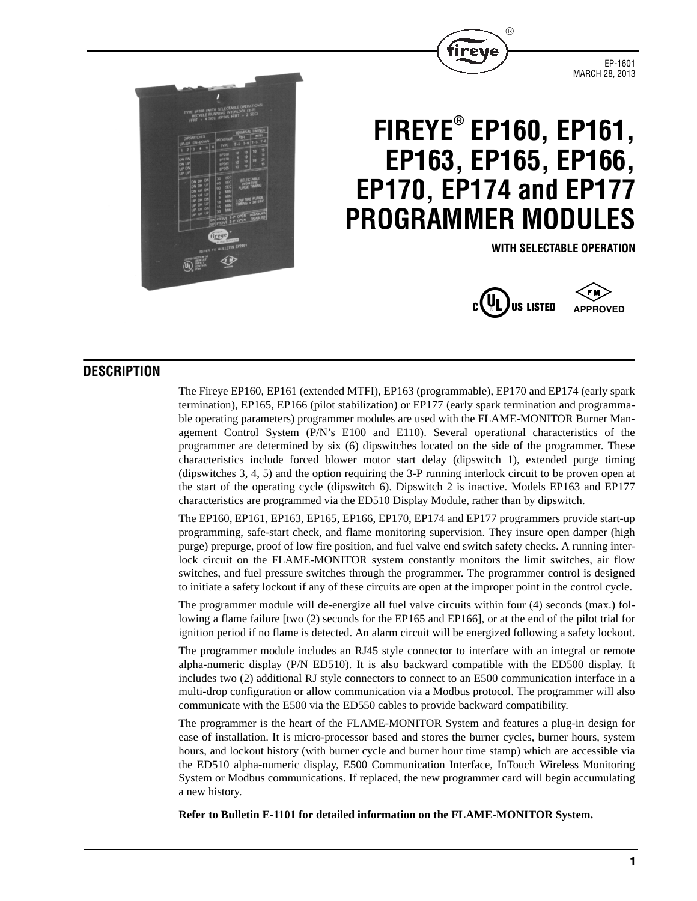

EP-1601 MARCH 28, 2013



# **FIREYE® EP160, EP161, EP163, EP165, EP166, EP170, EP174 and EP177 PROGRAMMER MODULES**

**WITH SELECTABLE OPERATION**





## **DESCRIPTION**

The Fireye EP160, EP161 (extended MTFI), EP163 (programmable), EP170 and EP174 (early spark termination), EP165, EP166 (pilot stabilization) or EP177 (early spark termination and programmable operating parameters) programmer modules are used with the FLAME-MONITOR Burner Management Control System (P/N's E100 and E110). Several operational characteristics of the programmer are determined by six (6) dipswitches located on the side of the programmer. These characteristics include forced blower motor start delay (dipswitch 1), extended purge timing (dipswitches 3, 4, 5) and the option requiring the 3-P running interlock circuit to be proven open at the start of the operating cycle (dipswitch 6). Dipswitch 2 is inactive. Models EP163 and EP177 characteristics are programmed via the ED510 Display Module, rather than by dipswitch.

The EP160, EP161, EP163, EP165, EP166, EP170, EP174 and EP177 programmers provide start-up programming, safe-start check, and flame monitoring supervision. They insure open damper (high purge) prepurge, proof of low fire position, and fuel valve end switch safety checks. A running interlock circuit on the FLAME-MONITOR system constantly monitors the limit switches, air flow switches, and fuel pressure switches through the programmer. The programmer control is designed to initiate a safety lockout if any of these circuits are open at the improper point in the control cycle.

The programmer module will de-energize all fuel valve circuits within four (4) seconds (max.) following a flame failure [two (2) seconds for the EP165 and EP166], or at the end of the pilot trial for ignition period if no flame is detected. An alarm circuit will be energized following a safety lockout.

The programmer module includes an RJ45 style connector to interface with an integral or remote alpha-numeric display (P/N ED510). It is also backward compatible with the ED500 display. It includes two (2) additional RJ style connectors to connect to an E500 communication interface in a multi-drop configuration or allow communication via a Modbus protocol. The programmer will also communicate with the E500 via the ED550 cables to provide backward compatibility.

The programmer is the heart of the FLAME-MONITOR System and features a plug-in design for ease of installation. It is micro-processor based and stores the burner cycles, burner hours, system hours, and lockout history (with burner cycle and burner hour time stamp) which are accessible via the ED510 alpha-numeric display, E500 Communication Interface, InTouch Wireless Monitoring System or Modbus communications. If replaced, the new programmer card will begin accumulating a new history.

**Refer to Bulletin E-1101 for detailed information on the FLAME-MONITOR System.**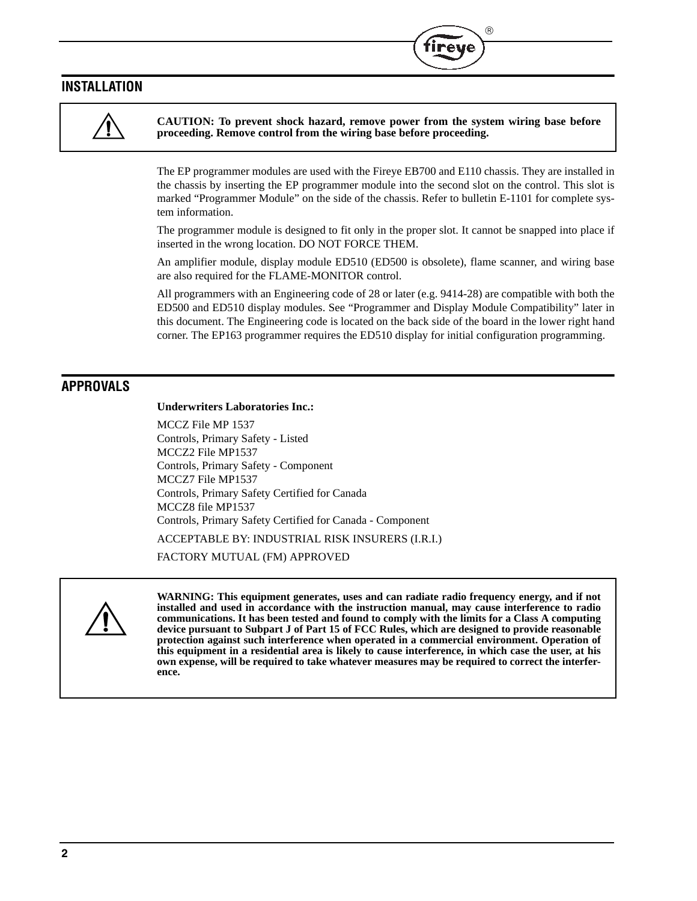## **INSTALLATION**



**CAUTION: To prevent shock hazard, remove power from the system wiring base before proceeding. Remove control from the wiring base before proceeding.** 

 $^{\circledR}$ 

The EP programmer modules are used with the Fireye EB700 and E110 chassis. They are installed in the chassis by inserting the EP programmer module into the second slot on the control. This slot is marked "Programmer Module" on the side of the chassis. Refer to bulletin E-1101 for complete system information.

The programmer module is designed to fit only in the proper slot. It cannot be snapped into place if inserted in the wrong location. DO NOT FORCE THEM.

An amplifier module, display module ED510 (ED500 is obsolete), flame scanner, and wiring base are also required for the FLAME-MONITOR control.

All programmers with an Engineering code of 28 or later (e.g. 9414-28) are compatible with both the ED500 and ED510 display modules. See "Programmer and Display Module Compatibility" later in this document. The Engineering code is located on the back side of the board in the lower right hand corner. The EP163 programmer requires the ED510 display for initial configuration programming.

## **APPROVALS**

#### **Underwriters Laboratories Inc.:**

MCCZ File MP 1537 Controls, Primary Safety - Listed MCCZ2 File MP1537 Controls, Primary Safety - Component MCCZ7 File MP1537 Controls, Primary Safety Certified for Canada MCCZ8 file MP1537 Controls, Primary Safety Certified for Canada - Component ACCEPTABLE BY: INDUSTRIAL RISK INSURERS (I.R.I.) FACTORY MUTUAL (FM) APPROVED



**WARNING: This equipment generates, uses and can radiate radio frequency energy, and if not installed and used in accordance with the instruction manual, may cause interference to radio communications. It has been tested and found to comply with the limits for a Class A computing device pursuant to Subpart J of Part 15 of FCC Rules, which are designed to provide reasonable protection against such interference when operated in a commercial environment. Operation of this equipment in a residential area is likely to cause interference, in which case the user, at his own expense, will be required to take whatever measures may be required to correct the interference.**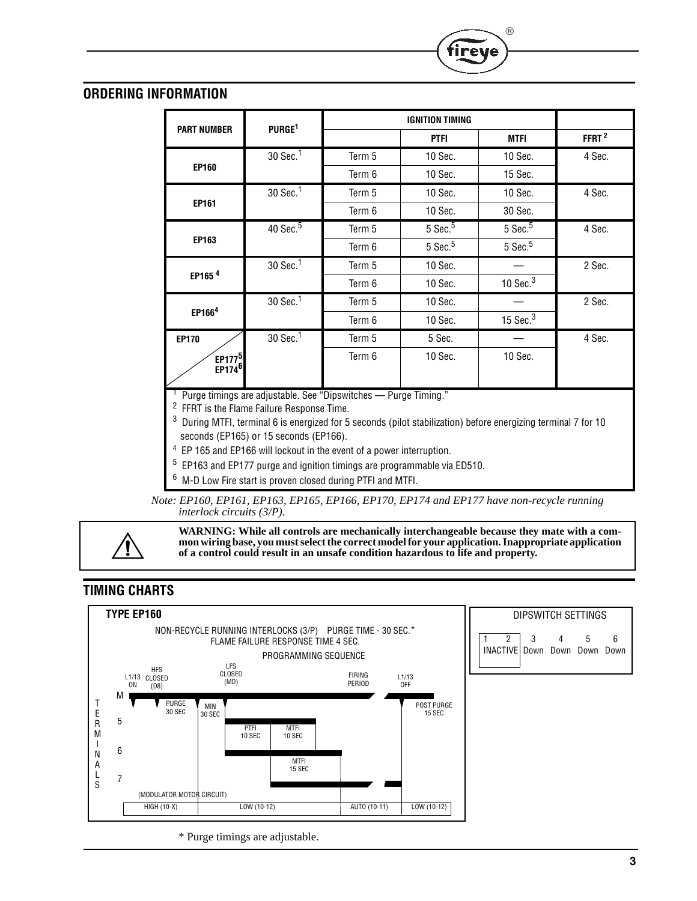# **ORDERING INFORMATION**

|                                          | PURGE <sup>1</sup>     |        | <b>IGNITION TIMING</b> |               |                   |
|------------------------------------------|------------------------|--------|------------------------|---------------|-------------------|
| <b>PART NUMBER</b>                       |                        |        | <b>PTFI</b>            | <b>MTFI</b>   | FFRT <sup>2</sup> |
|                                          | 30 Sec. <sup>1</sup>   | Term 5 | 10 Sec.                | 10 Sec.       | 4 Sec.            |
| <b>EP160</b>                             |                        | Term 6 | 10 Sec.                | 15 Sec.       |                   |
|                                          | 30 Sec. <sup>1</sup>   | Term 5 | 10 Sec.                | 10 Sec.       | 4 Sec.            |
| <b>EP161</b>                             |                        | Term 6 | 10 Sec.                | 30 Sec.       |                   |
|                                          | $40$ Sec. <sup>5</sup> | Term 5 | $5$ Sec. $5$           | $5$ Sec. $5$  | 4 Sec.            |
| EP163                                    |                        | Term 6 | $5$ Sec. $5$           | $5$ Sec. $5$  |                   |
|                                          | 30 Sec. <sup>1</sup>   | Term 5 | 10 Sec.                |               | 2 Sec.            |
| EP165 <sup>4</sup>                       |                        | Term 6 | 10 Sec.                | $10$ Sec. $3$ |                   |
|                                          | 30 Sec. <sup>1</sup>   | Term 5 | 10 Sec.                |               | 2 Sec.            |
| EP166 <sup>4</sup>                       |                        | Term 6 | 10 Sec.                | 15 Sec. $3$   |                   |
| <b>EP170</b>                             | 30 Sec. <sup>1</sup>   | Term 5 | 5 Sec.                 |               | 4 Sec.            |
| EP177 <sup>5</sup><br>EP174 <sup>6</sup> |                        | Term 6 | 10 Sec.                | 10 Sec.       |                   |

R

ireve

<sup>1</sup> Purge timings are adjustable. See "Dipswitches — Purge Timing."

<sup>2</sup> FFRT is the Flame Failure Response Time.

<sup>3</sup> During MTFI, terminal 6 is energized for 5 seconds (pilot stabilization) before energizing terminal 7 for 10 seconds (EP165) or 15 seconds (EP166).

<sup>4</sup> EP 165 and EP166 will lockout in the event of a power interruption.

<sup>5</sup> EP163 and EP177 purge and ignition timings are programmable via ED510.

<sup>6</sup> M-D Low Fire start is proven closed during PTFI and MTFI.

*Note: EP160, EP161, EP163, EP165, EP166, EP170, EP174 and EP177 have non-recycle running interlock circuits (3/P).*

**WARNING: While all controls are mechanically interchangeable because they mate with a common wiring base, you must select the correct model for your application. Inappropriate application of a control could result in an unsafe condition hazardous to life and property.**

# **TIMING CHARTS**



\* Purge timings are adjustable.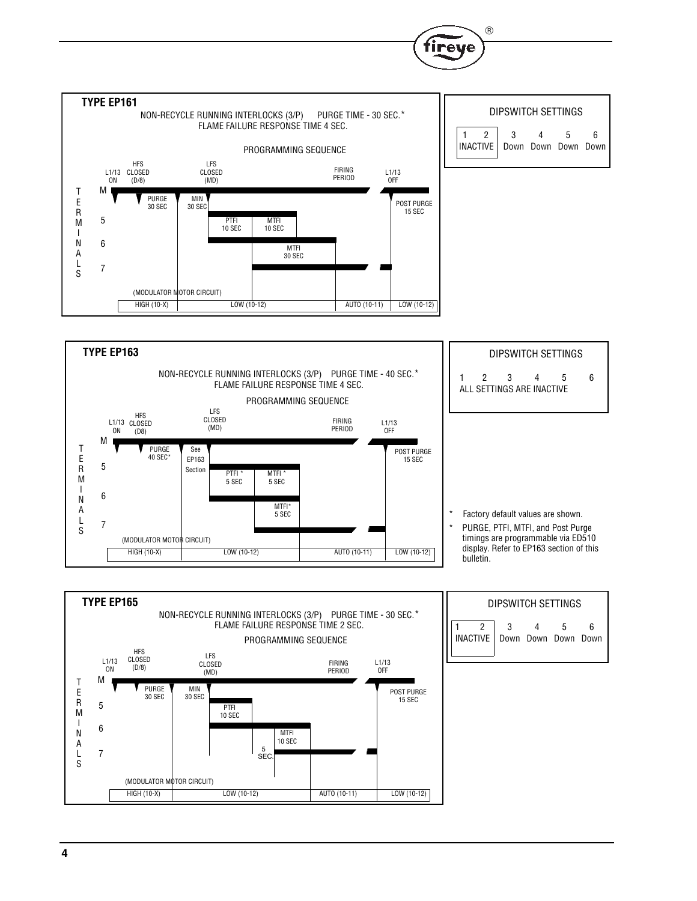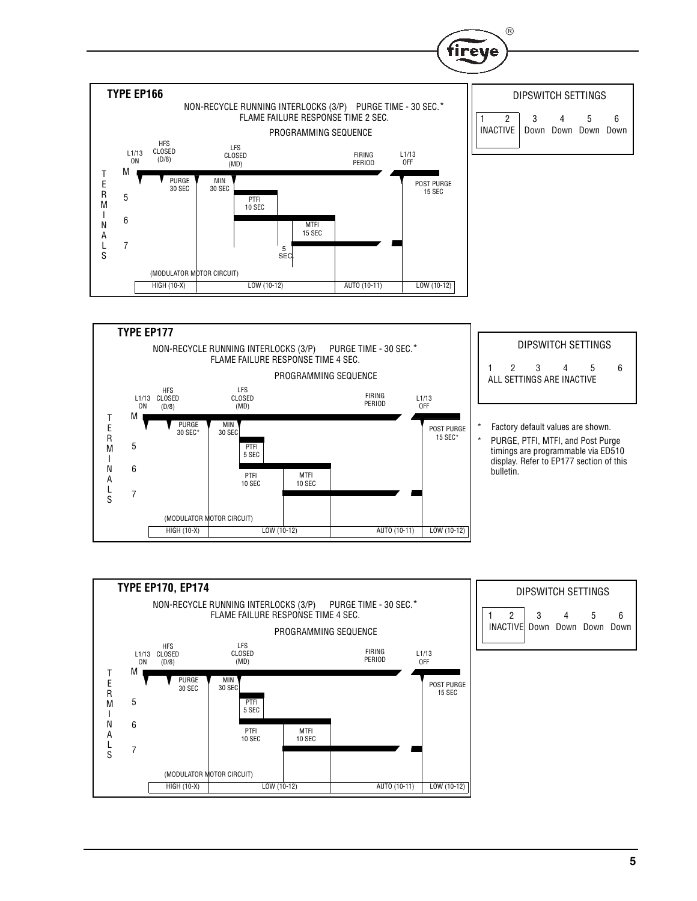

 $\circledR$ 



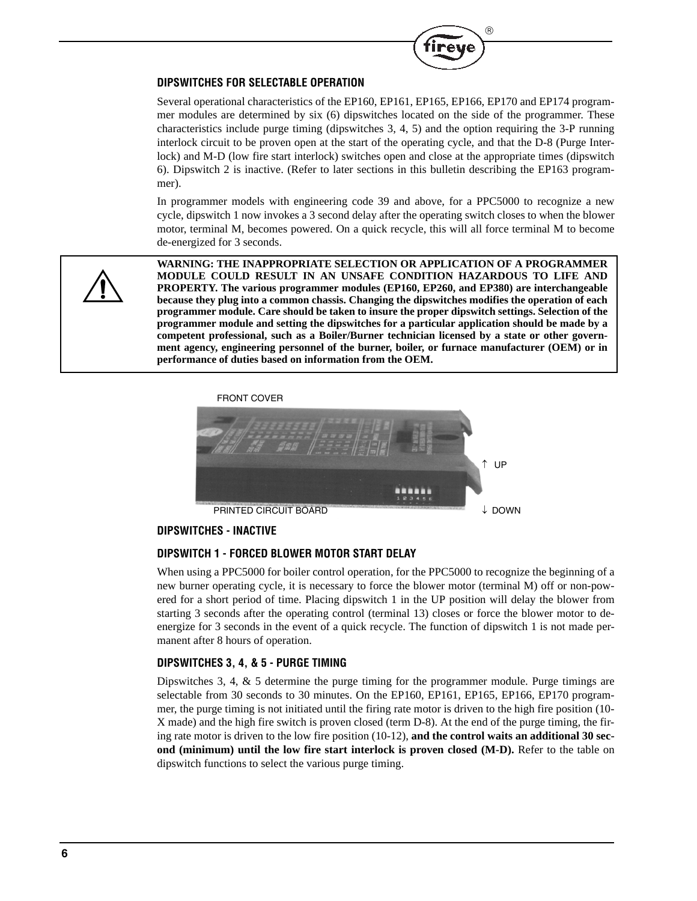

#### **DIPSWITCHES FOR SELECTABLE OPERATION**

Several operational characteristics of the EP160, EP161, EP165, EP166, EP170 and EP174 programmer modules are determined by six (6) dipswitches located on the side of the programmer. These characteristics include purge timing (dipswitches 3, 4, 5) and the option requiring the 3-P running interlock circuit to be proven open at the start of the operating cycle, and that the D-8 (Purge Interlock) and M-D (low fire start interlock) switches open and close at the appropriate times (dipswitch 6). Dipswitch 2 is inactive. (Refer to later sections in this bulletin describing the EP163 programmer).

In programmer models with engineering code 39 and above, for a PPC5000 to recognize a new cycle, dipswitch 1 now invokes a 3 second delay after the operating switch closes to when the blower motor, terminal M, becomes powered. On a quick recycle, this will all force terminal M to become de-energized for 3 seconds.



**WARNING: THE INAPPROPRIATE SELECTION OR APPLICATION OF A PROGRAMMER MODULE COULD RESULT IN AN UNSAFE CONDITION HAZARDOUS TO LIFE AND PROPERTY. The various programmer modules (EP160, EP260, and EP380) are interchangeable because they plug into a common chassis. Changing the dipswitches modifies the operation of each programmer module. Care should be taken to insure the proper dipswitch settings. Selection of the programmer module and setting the dipswitches for a particular application should be made by a competent professional, such as a Boiler/Burner technician licensed by a state or other government agency, engineering personnel of the burner, boiler, or furnace manufacturer (OEM) or in performance of duties based on information from the OEM.**





#### **DIPSWITCHES - INACTIVE**

#### **DIPSWITCH 1 - FORCED BLOWER MOTOR START DELAY**

When using a PPC5000 for boiler control operation, for the PPC5000 to recognize the beginning of a new burner operating cycle, it is necessary to force the blower motor (terminal M) off or non-powered for a short period of time. Placing dipswitch 1 in the UP position will delay the blower from starting 3 seconds after the operating control (terminal 13) closes or force the blower motor to deenergize for 3 seconds in the event of a quick recycle. The function of dipswitch 1 is not made permanent after 8 hours of operation.

#### **DIPSWITCHES 3, 4, & 5 - PURGE TIMING**

Dipswitches 3, 4, & 5 determine the purge timing for the programmer module. Purge timings are selectable from 30 seconds to 30 minutes. On the EP160, EP161, EP165, EP166, EP170 programmer, the purge timing is not initiated until the firing rate motor is driven to the high fire position (10- X made) and the high fire switch is proven closed (term D-8). At the end of the purge timing, the firing rate motor is driven to the low fire position (10-12), **and the control waits an additional 30 second (minimum) until the low fire start interlock is proven closed (M-D).** Refer to the table on dipswitch functions to select the various purge timing.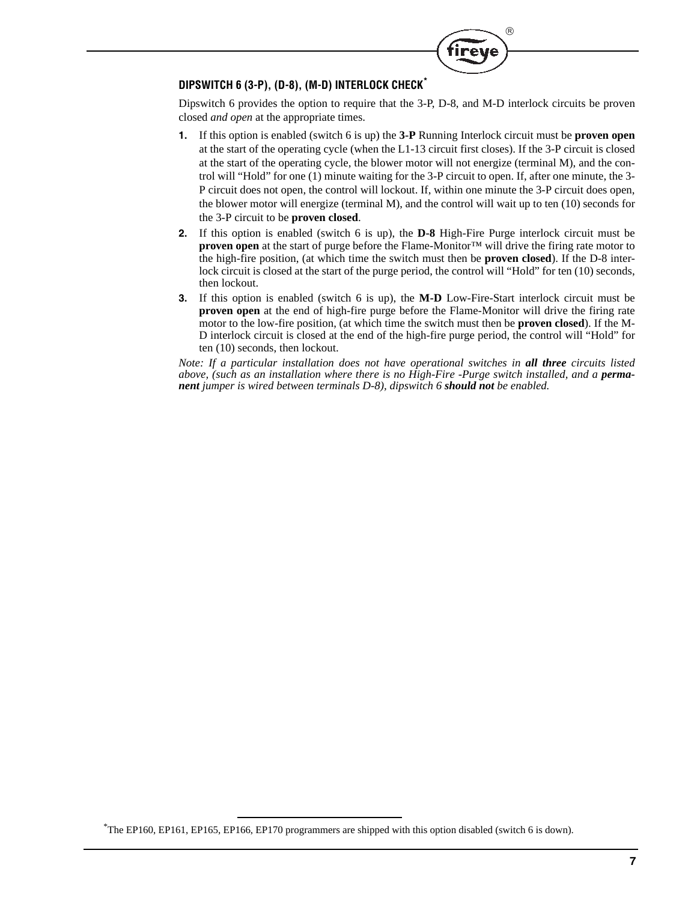

## **DIPSWITCH 6 (3-P), (D-8), (M-D) INTERLOCK CHECK\***

Dipswitch 6 provides the option to require that the 3-P, D-8, and M-D interlock circuits be proven closed *and open* at the appropriate times.

- **1.** If this option is enabled (switch 6 is up) the **3-P** Running Interlock circuit must be **proven open** at the start of the operating cycle (when the L1-13 circuit first closes). If the 3-P circuit is closed at the start of the operating cycle, the blower motor will not energize (terminal M), and the control will "Hold" for one (1) minute waiting for the 3-P circuit to open. If, after one minute, the 3- P circuit does not open, the control will lockout. If, within one minute the 3-P circuit does open, the blower motor will energize (terminal M), and the control will wait up to ten (10) seconds for the 3-P circuit to be **proven closed**.
- **2.** If this option is enabled (switch 6 is up), the **D-8** High-Fire Purge interlock circuit must be **proven open** at the start of purge before the Flame-Monitor™ will drive the firing rate motor to the high-fire position, (at which time the switch must then be **proven closed**). If the D-8 interlock circuit is closed at the start of the purge period, the control will "Hold" for ten (10) seconds, then lockout.
- **3.** If this option is enabled (switch 6 is up), the **M-D** Low-Fire-Start interlock circuit must be **proven open** at the end of high-fire purge before the Flame-Monitor will drive the firing rate motor to the low-fire position, (at which time the switch must then be **proven closed**). If the M-D interlock circuit is closed at the end of the high-fire purge period, the control will "Hold" for ten (10) seconds, then lockout.

*Note: If a particular installation does not have operational switches in all three circuits listed* above, (such as an installation where there is no High-Fire -Purge switch installed, and a **perma***nent jumper is wired between terminals D-8), dipswitch 6 should not be enabled.*

<sup>\*</sup> The EP160, EP161, EP165, EP166, EP170 programmers are shipped with this option disabled (switch 6 is down).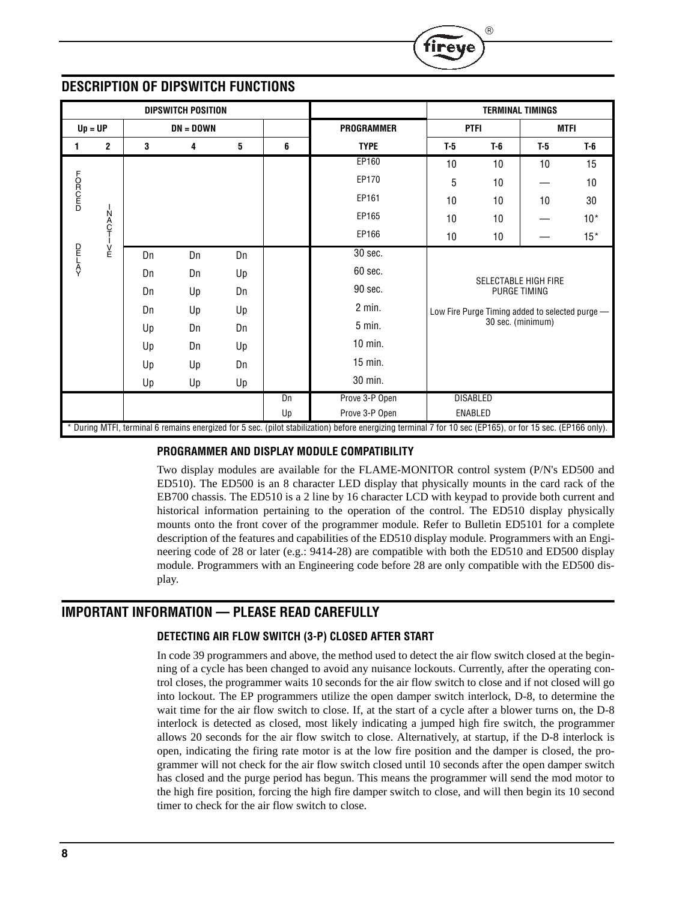|        | ® |
|--------|---|
| tireve |   |

# **DESCRIPTION OF DIPSWITCH FUNCTIONS**

|               |                  |    | <b>DIPSWITCH POSITION</b> |    |    |                                                                                                                                                            |       |                 | <b>TERMINAL TIMINGS</b>                            |       |  |
|---------------|------------------|----|---------------------------|----|----|------------------------------------------------------------------------------------------------------------------------------------------------------------|-------|-----------------|----------------------------------------------------|-------|--|
| $Up = UP$     |                  |    | $DN = DOMN$               |    |    | <b>PROGRAMMER</b>                                                                                                                                          |       | <b>PTFI</b>     | <b>MTFI</b>                                        |       |  |
| 1.            | $\mathbf 2$      | 3  | 4                         | 5  | 6  | <b>TYPE</b>                                                                                                                                                | $T-5$ | $T-6$           | $T-5$                                              | $T-6$ |  |
|               |                  |    |                           |    |    | EP160                                                                                                                                                      | 10    | 10              | 10                                                 | 15    |  |
|               |                  |    |                           |    |    | EP170                                                                                                                                                      | 5     | 10              |                                                    | 10    |  |
| <b>DEOROP</b> |                  |    |                           |    |    | EP161                                                                                                                                                      | 10    | 10              | 10                                                 | 30    |  |
|               | N<br>A<br>C<br>T |    |                           |    |    | EP165                                                                                                                                                      | 10    | 10              |                                                    | $10*$ |  |
|               |                  |    |                           |    |    | EP166                                                                                                                                                      | 10    | 10              |                                                    | $15*$ |  |
| PLEV<br>A     | ∣<br>E           | Dn | Dn                        | Dn |    | 30 sec.                                                                                                                                                    |       |                 |                                                    |       |  |
|               |                  | Dn | Dn                        | Up |    | 60 sec.                                                                                                                                                    |       |                 |                                                    |       |  |
|               |                  | Dn | Up                        | Dn |    | 90 sec.                                                                                                                                                    |       |                 | <b>SELECTABLE HIGH FIRE</b><br><b>PURGE TIMING</b> |       |  |
|               |                  | Dn | Up                        | Up |    | $2$ min.                                                                                                                                                   |       |                 | Low Fire Purge Timing added to selected purge -    |       |  |
|               |                  | Up | Dn                        | Dn |    | $5$ min.                                                                                                                                                   |       |                 | 30 sec. (minimum)                                  |       |  |
|               |                  | Up | Dn                        | Up |    | $10$ min.                                                                                                                                                  |       |                 |                                                    |       |  |
|               |                  | Up | Up                        | Dn |    | $15$ min.                                                                                                                                                  |       |                 |                                                    |       |  |
|               |                  | Up | Up                        | Up |    | 30 min.                                                                                                                                                    |       |                 |                                                    |       |  |
|               |                  |    |                           |    | Dn | Prove 3-P Open                                                                                                                                             |       | <b>DISABLED</b> |                                                    |       |  |
|               |                  |    |                           |    | Up | Prove 3-P Open                                                                                                                                             |       | ENABLED         |                                                    |       |  |
|               |                  |    |                           |    |    | * During MTFI, terminal 6 remains energized for 5 sec. (pilot stabilization) before energizing terminal 7 for 10 sec (EP165), or for 15 sec. (EP166 only). |       |                 |                                                    |       |  |

## **PROGRAMMER AND DISPLAY MODULE COMPATIBILITY**

Two display modules are available for the FLAME-MONITOR control system (P/N's ED500 and ED510). The ED500 is an 8 character LED display that physically mounts in the card rack of the EB700 chassis. The ED510 is a 2 line by 16 character LCD with keypad to provide both current and historical information pertaining to the operation of the control. The ED510 display physically mounts onto the front cover of the programmer module. Refer to Bulletin ED5101 for a complete description of the features and capabilities of the ED510 display module. Programmers with an Engineering code of 28 or later (e.g.: 9414-28) are compatible with both the ED510 and ED500 display module. Programmers with an Engineering code before 28 are only compatible with the ED500 display.

# **IMPORTANT INFORMATION — PLEASE READ CAREFULLY**

## **DETECTING AIR FLOW SWITCH (3-P) CLOSED AFTER START**

In code 39 programmers and above, the method used to detect the air flow switch closed at the beginning of a cycle has been changed to avoid any nuisance lockouts. Currently, after the operating control closes, the programmer waits 10 seconds for the air flow switch to close and if not closed will go into lockout. The EP programmers utilize the open damper switch interlock, D-8, to determine the wait time for the air flow switch to close. If, at the start of a cycle after a blower turns on, the D-8 interlock is detected as closed, most likely indicating a jumped high fire switch, the programmer allows 20 seconds for the air flow switch to close. Alternatively, at startup, if the D-8 interlock is open, indicating the firing rate motor is at the low fire position and the damper is closed, the programmer will not check for the air flow switch closed until 10 seconds after the open damper switch has closed and the purge period has begun. This means the programmer will send the mod motor to the high fire position, forcing the high fire damper switch to close, and will then begin its 10 second timer to check for the air flow switch to close.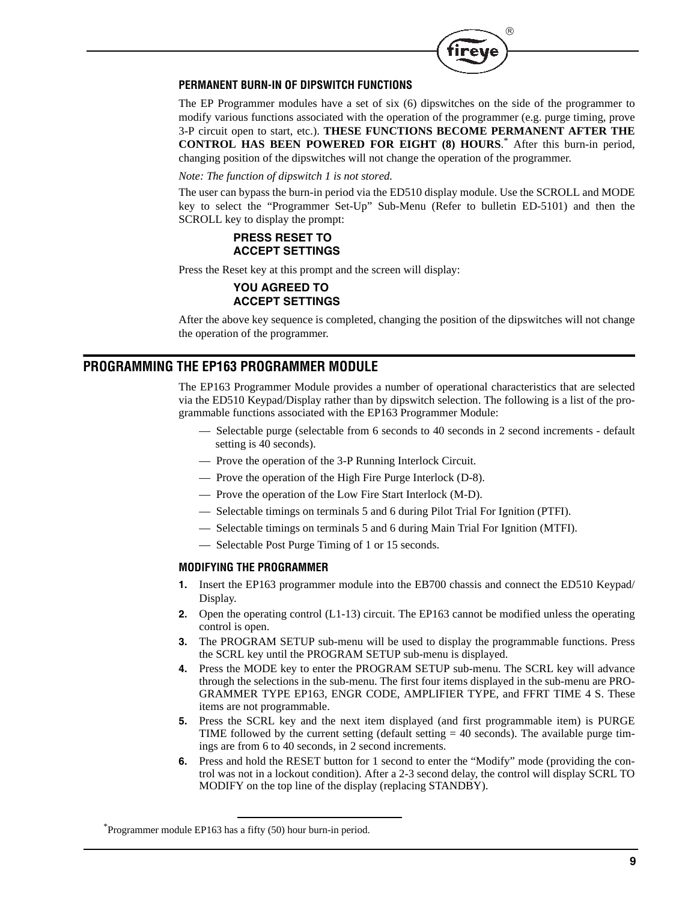

## **PERMANENT BURN-IN OF DIPSWITCH FUNCTIONS**

The EP Programmer modules have a set of six (6) dipswitches on the side of the programmer to modify various functions associated with the operation of the programmer (e.g. purge timing, prove 3-P circuit open to start, etc.). **THESE FUNCTIONS BECOME PERMANENT AFTER THE CONTROL HAS BEEN POWERED FOR EIGHT (8) HOURS**. \* After this burn-in period, changing position of the dipswitches will not change the operation of the programmer.

#### *Note: The function of dipswitch 1 is not stored.*

The user can bypass the burn-in period via the ED510 display module. Use the SCROLL and MODE key to select the "Programmer Set-Up" Sub-Menu (Refer to bulletin ED-5101) and then the SCROLL key to display the prompt:

# **PRESS RESET TO ACCEPT SETTINGS**

Press the Reset key at this prompt and the screen will display:

## **YOU AGREED TO ACCEPT SETTINGS**

After the above key sequence is completed, changing the position of the dipswitches will not change the operation of the programmer.

# **PROGRAMMING THE EP163 PROGRAMMER MODULE**

The EP163 Programmer Module provides a number of operational characteristics that are selected via the ED510 Keypad/Display rather than by dipswitch selection. The following is a list of the programmable functions associated with the EP163 Programmer Module:

- Selectable purge (selectable from 6 seconds to 40 seconds in 2 second increments default setting is 40 seconds).
- Prove the operation of the 3-P Running Interlock Circuit.
- Prove the operation of the High Fire Purge Interlock (D-8).
- Prove the operation of the Low Fire Start Interlock (M-D).
- Selectable timings on terminals 5 and 6 during Pilot Trial For Ignition (PTFI).
- Selectable timings on terminals 5 and 6 during Main Trial For Ignition (MTFI).
- Selectable Post Purge Timing of 1 or 15 seconds.

#### **MODIFYING THE PROGRAMMER**

- **1.** Insert the EP163 programmer module into the EB700 chassis and connect the ED510 Keypad/ Display.
- **2.** Open the operating control (L1-13) circuit. The EP163 cannot be modified unless the operating control is open.
- **3.** The PROGRAM SETUP sub-menu will be used to display the programmable functions. Press the SCRL key until the PROGRAM SETUP sub-menu is displayed.
- **4.** Press the MODE key to enter the PROGRAM SETUP sub-menu. The SCRL key will advance through the selections in the sub-menu. The first four items displayed in the sub-menu are PRO-GRAMMER TYPE EP163, ENGR CODE, AMPLIFIER TYPE, and FFRT TIME 4 S. These items are not programmable.
- **5.** Press the SCRL key and the next item displayed (and first programmable item) is PURGE TIME followed by the current setting (default setting  $= 40$  seconds). The available purge timings are from 6 to 40 seconds, in 2 second increments.
- **6.** Press and hold the RESET button for 1 second to enter the "Modify" mode (providing the control was not in a lockout condition). After a 2-3 second delay, the control will display SCRL TO MODIFY on the top line of the display (replacing STANDBY).

<sup>\*</sup> Programmer module EP163 has a fifty (50) hour burn-in period.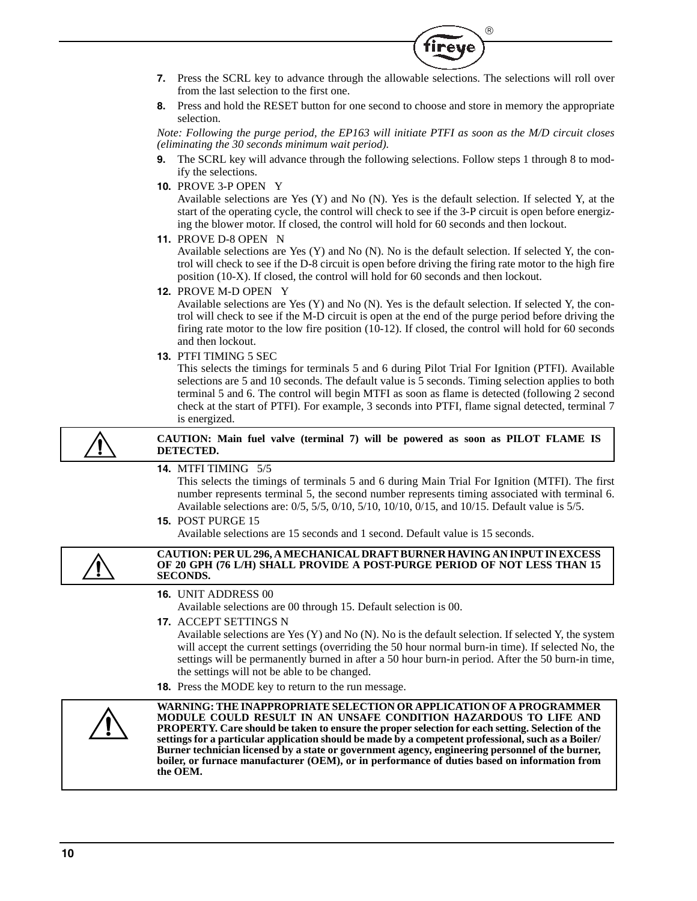**7.** Press the SCRL key to advance through the allowable selections. The selections will roll over from the last selection to the first one.

 $^{\circledR}$ 

**8.** Press and hold the RESET button for one second to choose and store in memory the appropriate selection.

*Note: Following the purge period, the EP163 will initiate PTFI as soon as the M/D circuit closes (eliminating the 30 seconds minimum wait period).*

- **9.** The SCRL key will advance through the following selections. Follow steps 1 through 8 to modify the selections.
- **10.** PROVE 3-P OPEN Y

Available selections are Yes (Y) and No (N). Yes is the default selection. If selected Y, at the start of the operating cycle, the control will check to see if the 3-P circuit is open before energizing the blower motor. If closed, the control will hold for 60 seconds and then lockout.

**11.** PROVE D-8 OPEN N

Available selections are Yes (Y) and No (N). No is the default selection. If selected Y, the control will check to see if the D-8 circuit is open before driving the firing rate motor to the high fire position (10-X). If closed, the control will hold for 60 seconds and then lockout.

**12.** PROVE M-D OPEN Y

Available selections are Yes (Y) and No (N). Yes is the default selection. If selected Y, the control will check to see if the M-D circuit is open at the end of the purge period before driving the firing rate motor to the low fire position (10-12). If closed, the control will hold for 60 seconds and then lockout.

**13.** PTFI TIMING 5 SEC

This selects the timings for terminals 5 and 6 during Pilot Trial For Ignition (PTFI). Available selections are 5 and 10 seconds. The default value is 5 seconds. Timing selection applies to both terminal 5 and 6. The control will begin MTFI as soon as flame is detected (following 2 second check at the start of PTFI). For example, 3 seconds into PTFI, flame signal detected, terminal 7 is energized.

**CAUTION: Main fuel valve (terminal 7) will be powered as soon as PILOT FLAME IS DETECTED.**

**14.** MTFI TIMING 5/5

This selects the timings of terminals 5 and 6 during Main Trial For Ignition (MTFI). The first number represents terminal 5, the second number represents timing associated with terminal 6. Available selections are: 0/5, 5/5, 0/10, 5/10, 10/10, 0/15, and 10/15. Default value is 5/5.

**15.** POST PURGE 15

Available selections are 15 seconds and 1 second. Default value is 15 seconds.



**Burner technician licensed by a state or government agency, engineering personnel of the burner, boiler, or furnace manufacturer (OEM), or in performance of duties based on information from the OEM.**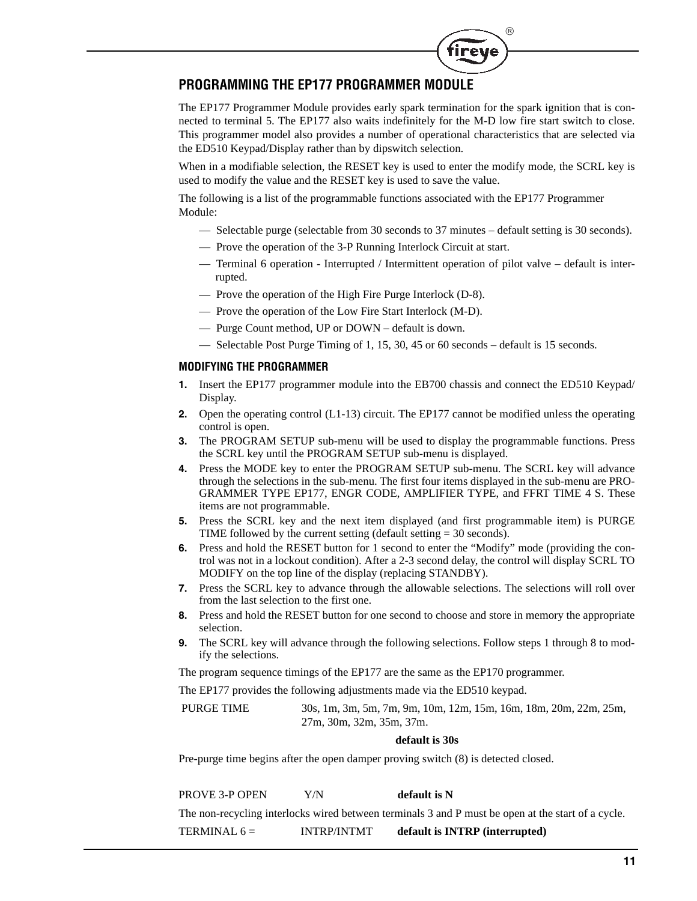

# **PROGRAMMING THE EP177 PROGRAMMER MODULE**

The EP177 Programmer Module provides early spark termination for the spark ignition that is connected to terminal 5. The EP177 also waits indefinitely for the M-D low fire start switch to close. This programmer model also provides a number of operational characteristics that are selected via the ED510 Keypad/Display rather than by dipswitch selection.

When in a modifiable selection, the RESET key is used to enter the modify mode, the SCRL key is used to modify the value and the RESET key is used to save the value.

The following is a list of the programmable functions associated with the EP177 Programmer Module:

- Selectable purge (selectable from 30 seconds to 37 minutes default setting is 30 seconds).
- Prove the operation of the 3-P Running Interlock Circuit at start.
- Terminal 6 operation Interrupted / Intermittent operation of pilot valve default is interrupted.
- Prove the operation of the High Fire Purge Interlock (D-8).
- Prove the operation of the Low Fire Start Interlock (M-D).
- Purge Count method, UP or DOWN default is down.
- Selectable Post Purge Timing of 1, 15, 30, 45 or 60 seconds default is 15 seconds.

#### **MODIFYING THE PROGRAMMER**

- **1.** Insert the EP177 programmer module into the EB700 chassis and connect the ED510 Keypad/ Display.
- **2.** Open the operating control (L1-13) circuit. The EP177 cannot be modified unless the operating control is open.
- **3.** The PROGRAM SETUP sub-menu will be used to display the programmable functions. Press the SCRL key until the PROGRAM SETUP sub-menu is displayed.
- **4.** Press the MODE key to enter the PROGRAM SETUP sub-menu. The SCRL key will advance through the selections in the sub-menu. The first four items displayed in the sub-menu are PRO-GRAMMER TYPE EP177, ENGR CODE, AMPLIFIER TYPE, and FFRT TIME 4 S. These items are not programmable.
- **5.** Press the SCRL key and the next item displayed (and first programmable item) is PURGE TIME followed by the current setting (default setting = 30 seconds).
- **6.** Press and hold the RESET button for 1 second to enter the "Modify" mode (providing the control was not in a lockout condition). After a 2-3 second delay, the control will display SCRL TO MODIFY on the top line of the display (replacing STANDBY).
- **7.** Press the SCRL key to advance through the allowable selections. The selections will roll over from the last selection to the first one.
- **8.** Press and hold the RESET button for one second to choose and store in memory the appropriate selection.
- **9.** The SCRL key will advance through the following selections. Follow steps 1 through 8 to modify the selections.

The program sequence timings of the EP177 are the same as the EP170 programmer.

The EP177 provides the following adjustments made via the ED510 keypad.

 PURGE TIME 30s, 1m, 3m, 5m, 7m, 9m, 10m, 12m, 15m, 16m, 18m, 20m, 22m, 25m, 27m, 30m, 32m, 35m, 37m.

#### **default is 30s**

Pre-purge time begins after the open damper proving switch (8) is detected closed.

PROVE 3-P OPEN Y/N **default is N**

The non-recycling interlocks wired between terminals 3 and P must be open at the start of a cycle.

TERMINAL 6 = INTRP/INTMT **default is INTRP (interrupted)**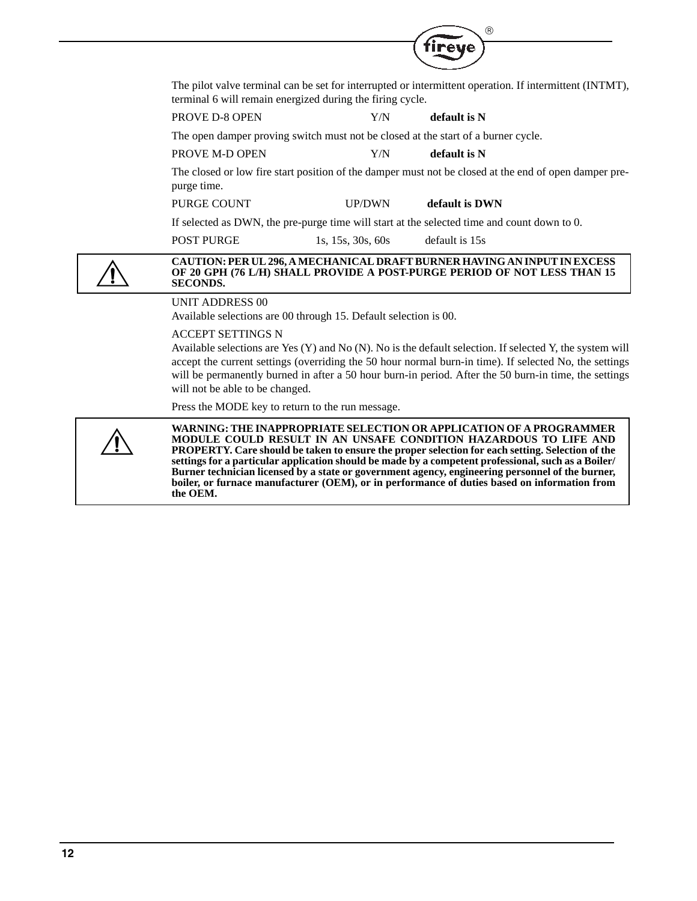|                                 |                                                                                   | $\circledR$                                                                                                                                                                                                                                                                                                                      |  |
|---------------------------------|-----------------------------------------------------------------------------------|----------------------------------------------------------------------------------------------------------------------------------------------------------------------------------------------------------------------------------------------------------------------------------------------------------------------------------|--|
|                                 |                                                                                   | reve                                                                                                                                                                                                                                                                                                                             |  |
|                                 | terminal 6 will remain energized during the firing cycle.                         | The pilot valve terminal can be set for interrupted or intermittent operation. If intermittent (INTMT),                                                                                                                                                                                                                          |  |
| PROVE D-8 OPEN                  | Y/N                                                                               | default is N                                                                                                                                                                                                                                                                                                                     |  |
|                                 | The open damper proving switch must not be closed at the start of a burner cycle. |                                                                                                                                                                                                                                                                                                                                  |  |
| PROVE M-D OPEN                  | Y/N                                                                               | default is N                                                                                                                                                                                                                                                                                                                     |  |
| purge time.                     |                                                                                   | The closed or low fire start position of the damper must not be closed at the end of open damper pre-                                                                                                                                                                                                                            |  |
| PURGE COUNT                     | <b>UP/DWN</b>                                                                     | default is DWN                                                                                                                                                                                                                                                                                                                   |  |
|                                 |                                                                                   | If selected as DWN, the pre-purge time will start at the selected time and count down to 0.                                                                                                                                                                                                                                      |  |
| <b>POST PURGE</b>               | 1s, $15s$ , $30s$ , $60s$                                                         | default is 15s                                                                                                                                                                                                                                                                                                                   |  |
| <b>SECONDS.</b>                 |                                                                                   | CAUTION: PER UL 296, A MECHANICAL DRAFT BURNER HAVING AN INPUT IN EXCESS<br>OF 20 GPH (76 L/H) SHALL PROVIDE A POST-PURGE PERIOD OF NOT LESS THAN 15                                                                                                                                                                             |  |
| <b>UNIT ADDRESS 00</b>          | Available selections are 00 through 15. Default selection is 00.                  |                                                                                                                                                                                                                                                                                                                                  |  |
| <b>ACCEPT SETTINGS N</b>        |                                                                                   |                                                                                                                                                                                                                                                                                                                                  |  |
| will not be able to be changed. |                                                                                   | Available selections are Yes $(Y)$ and No $(N)$ . No is the default selection. If selected Y, the system will<br>accept the current settings (overriding the 50 hour normal burn-in time). If selected No, the settings<br>will be permanently burned in after a 50 hour burn-in period. After the 50 burn-in time, the settings |  |
|                                 | Press the MODE key to return to the run message.                                  |                                                                                                                                                                                                                                                                                                                                  |  |
|                                 |                                                                                   | WARNING: THE INAPPROPRIATE SELECTION OR APPLICATION OF A PROGRAMMER                                                                                                                                                                                                                                                              |  |

**WARNING: THE INAPPROPRIATE SELECTION OR APPLICATION OF A PROGRAMMER MODULE COULD RESULT IN AN UNSAFE CONDITION HAZARDOUS TO LIFE AND PROPERTY. Care should be taken to ensure the proper selection for each setting. Selection of the settings for a particular application should be made by a competent professional, such as a Boiler/ Burner technician licensed by a state or government agency, engineering personnel of the burner, boiler, or furnace manufacturer (OEM), or in performance of duties based on information from the OEM.**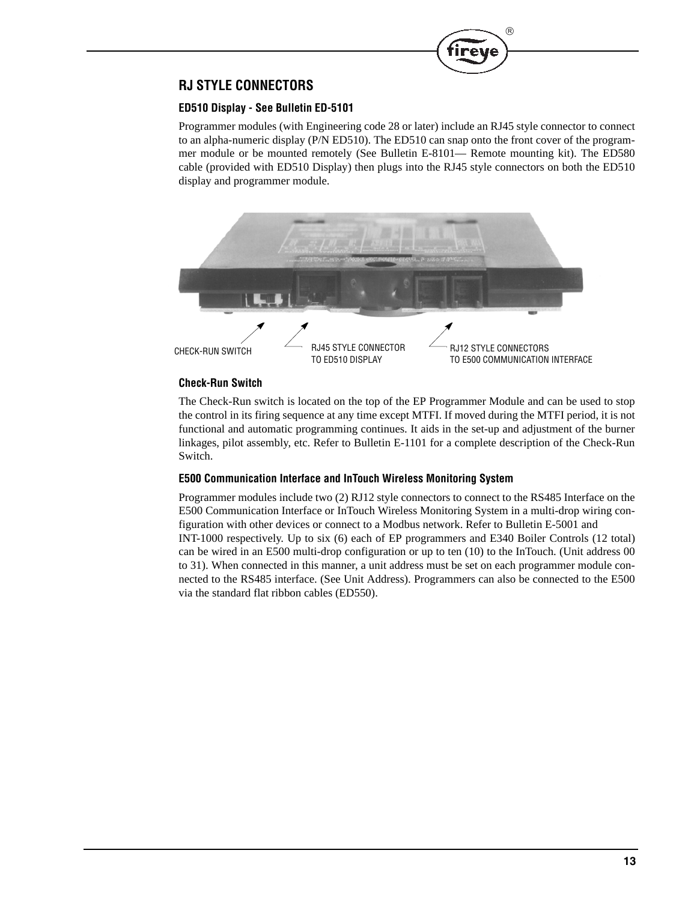

# **RJ STYLE CONNECTORS**

## **ED510 Display - See Bulletin ED-5101**

Programmer modules (with Engineering code 28 or later) include an RJ45 style connector to connect to an alpha-numeric display (P/N ED510). The ED510 can snap onto the front cover of the programmer module or be mounted remotely (See Bulletin E-8101— Remote mounting kit). The ED580 cable (provided with ED510 Display) then plugs into the RJ45 style connectors on both the ED510 display and programmer module.



#### **Check-Run Switch**

The Check-Run switch is located on the top of the EP Programmer Module and can be used to stop the control in its firing sequence at any time except MTFI. If moved during the MTFI period, it is not functional and automatic programming continues. It aids in the set-up and adjustment of the burner linkages, pilot assembly, etc. Refer to Bulletin E-1101 for a complete description of the Check-Run Switch.

#### **E500 Communication Interface and InTouch Wireless Monitoring System**

Programmer modules include two (2) RJ12 style connectors to connect to the RS485 Interface on the E500 Communication Interface or InTouch Wireless Monitoring System in a multi-drop wiring configuration with other devices or connect to a Modbus network. Refer to Bulletin E-5001 and INT-1000 respectively. Up to six (6) each of EP programmers and E340 Boiler Controls (12 total) can be wired in an E500 multi-drop configuration or up to ten (10) to the InTouch. (Unit address 00 to 31). When connected in this manner, a unit address must be set on each programmer module connected to the RS485 interface. (See Unit Address). Programmers can also be connected to the E500 via the standard flat ribbon cables (ED550).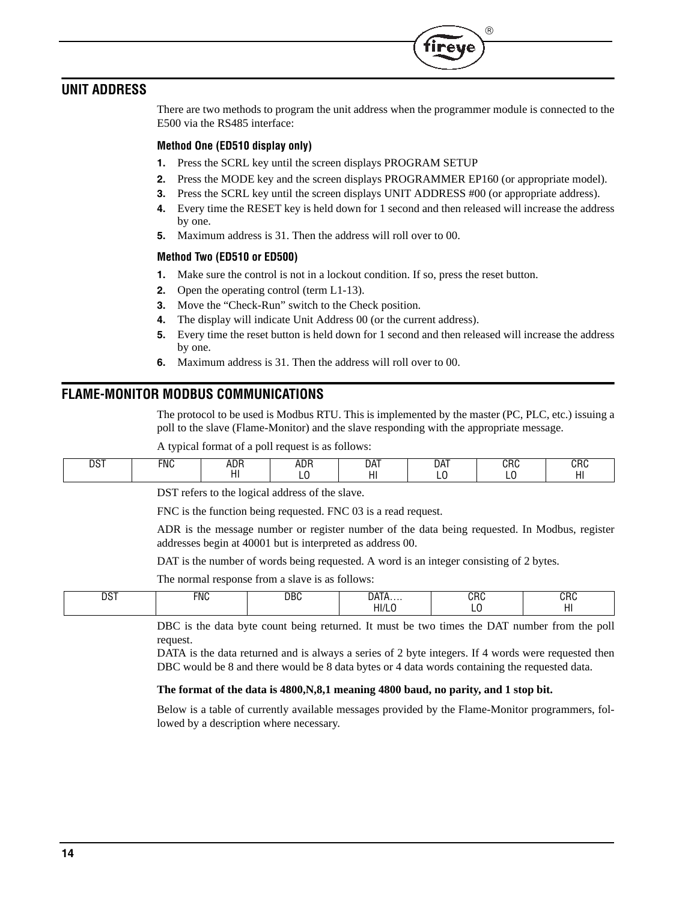# **UNIT ADDRESS**

There are two methods to program the unit address when the programmer module is connected to the E500 via the RS485 interface:

 $^{\circledR}$ 

#### **Method One (ED510 display only)**

- **1.** Press the SCRL key until the screen displays PROGRAM SETUP
- **2.** Press the MODE key and the screen displays PROGRAMMER EP160 (or appropriate model).
- **3.** Press the SCRL key until the screen displays UNIT ADDRESS #00 (or appropriate address).
- **4.** Every time the RESET key is held down for 1 second and then released will increase the address by one.
- **5.** Maximum address is 31. Then the address will roll over to 00.

#### **Method Two (ED510 or ED500)**

- **1.** Make sure the control is not in a lockout condition. If so, press the reset button.
- **2.** Open the operating control (term L1-13).
- **3.** Move the "Check-Run" switch to the Check position.
- **4.** The display will indicate Unit Address 00 (or the current address).
- **5.** Every time the reset button is held down for 1 second and then released will increase the address by one.
- **6.** Maximum address is 31. Then the address will roll over to 00.

## **FLAME-MONITOR MODBUS COMMUNICATIONS**

The protocol to be used is Modbus RTU. This is implemented by the master (PC, PLC, etc.) issuing a poll to the slave (Flame-Monitor) and the slave responding with the appropriate message.

A typical format of a poll request is as follows:

| ne.<br>FNC<br>וטע | ADF<br>$ -$<br>.<br>. | חחו<br>AUR | DAT | DAT<br>∼ | ono<br>∪ռ⊍<br>- | ono<br>unu<br>11 L<br>. |
|-------------------|-----------------------|------------|-----|----------|-----------------|-------------------------|
|-------------------|-----------------------|------------|-----|----------|-----------------|-------------------------|

DST refers to the logical address of the slave.

FNC is the function being requested. FNC 03 is a read request.

ADR is the message number or register number of the data being requested. In Modbus, register addresses begin at 40001 but is interpreted as address 00.

DAT is the number of words being requested. A word is an integer consisting of 2 bytes.

The normal response from a slave is as follows:

| $- - -$<br>u<br>◡<br>___ | <b>FNC</b> | DBC | - --                     | $ -$ | . .<br>$\ddotsc$ |
|--------------------------|------------|-----|--------------------------|------|------------------|
|                          |            |     | $\prime$<br>. .<br>11/ L |      | . .<br>.         |

DBC is the data byte count being returned. It must be two times the DAT number from the poll request.

DATA is the data returned and is always a series of 2 byte integers. If 4 words were requested then DBC would be 8 and there would be 8 data bytes or 4 data words containing the requested data.

#### **The format of the data is 4800,N,8,1 meaning 4800 baud, no parity, and 1 stop bit.**

Below is a table of currently available messages provided by the Flame-Monitor programmers, followed by a description where necessary.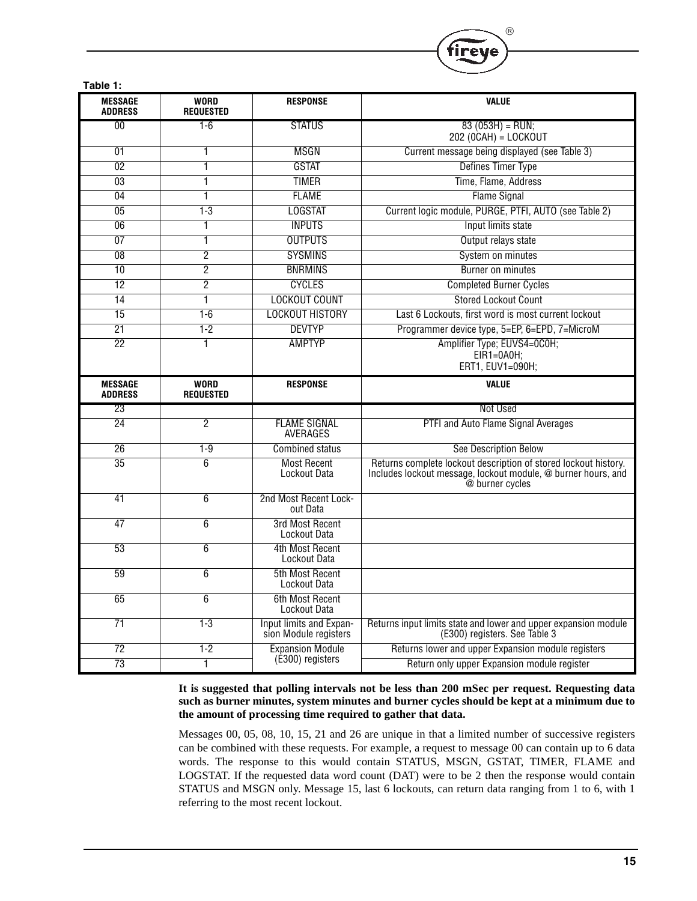| Table 1:                         |                                 |                                                  |                                                                                                                                                     |
|----------------------------------|---------------------------------|--------------------------------------------------|-----------------------------------------------------------------------------------------------------------------------------------------------------|
| <b>MESSAGE</b><br><b>ADDRESS</b> | <b>WORD</b><br><b>REQUESTED</b> | <b>RESPONSE</b>                                  | <b>VALUE</b>                                                                                                                                        |
| 00                               | 1-6                             | <b>STATUS</b>                                    | $83(053H) = RUN;$<br>$202 (0CAH) = LOGKOUT$                                                                                                         |
| 01                               | 1                               | MSGN                                             | Current message being displayed (see Table 3)                                                                                                       |
| $\overline{02}$                  | 1                               | <b>GSTAT</b>                                     | Defines Timer Type                                                                                                                                  |
| 03                               | 1                               | <b>TIMER</b>                                     | Time, Flame, Address                                                                                                                                |
| 04                               | 1                               | <b>FLAME</b>                                     | <b>Flame Signal</b>                                                                                                                                 |
| 05                               | $1 - 3$                         | <b>LOGSTAT</b>                                   | Current logic module, PURGE, PTFI, AUTO (see Table 2)                                                                                               |
| 06                               | 1                               | <b>INPUTS</b>                                    | Input limits state                                                                                                                                  |
| 07                               | 1                               | <b>OUTPUTS</b>                                   | Output relays state                                                                                                                                 |
| 08                               | 2                               | <b>SYSMINS</b>                                   | System on minutes                                                                                                                                   |
| $\overline{10}$                  | $\overline{2}$                  | <b>BNRMINS</b>                                   | <b>Burner on minutes</b>                                                                                                                            |
| $\overline{12}$                  | 2                               | <b>CYCLES</b>                                    | <b>Completed Burner Cycles</b>                                                                                                                      |
| 14                               | 1                               | <b>LOCKOUT COUNT</b>                             | <b>Stored Lockout Count</b>                                                                                                                         |
| 15                               | $1 - 6$                         | <b>LOCKOUT HISTORY</b>                           | Last 6 Lockouts, first word is most current lockout                                                                                                 |
| 21                               | $1-2$                           | <b>DEVTYP</b>                                    | Programmer device type, 5=EP, 6=EPD, 7=MicroM                                                                                                       |
| $\overline{22}$                  | 1                               | <b>AMPTYP</b>                                    | Amplifier Type; EUVS4=0C0H;<br>EIR1=0A0H:<br>ERT1, EUV1=090H;                                                                                       |
|                                  |                                 |                                                  |                                                                                                                                                     |
| <b>MESSAGE</b><br><b>ADDRESS</b> | <b>WORD</b><br><b>REQUESTED</b> | <b>RESPONSE</b>                                  | <b>VALUE</b>                                                                                                                                        |
| 23                               |                                 |                                                  | Not Used                                                                                                                                            |
| 24                               | $\overline{c}$                  | <b>FLAME SIGNAL</b><br>AVERAGES                  | PTFI and Auto Flame Signal Averages                                                                                                                 |
| $\overline{26}$                  | $1-9$                           | <b>Combined status</b>                           | <b>See Description Below</b>                                                                                                                        |
| $\overline{35}$                  | 6                               | <b>Most Recent</b><br>Lockout Data               | Returns complete lockout description of stored lockout history.<br>Includes lockout message, lockout module, @ burner hours, and<br>@ burner cycles |
| 41                               | 6                               | 2nd Most Recent Lock-<br>out Data                |                                                                                                                                                     |
| 47                               | $6\overline{6}$                 | <b>3rd Most Recent</b><br>Lockout Data           |                                                                                                                                                     |
| $\overline{53}$                  | 6                               | 4th Most Recent<br>Lockout Data                  |                                                                                                                                                     |
| 59                               | $\overline{6}$                  | 5th Most Recent<br>Lockout Data                  |                                                                                                                                                     |
| 65                               | 6                               | 6th Most Recent<br>Lockout Data                  |                                                                                                                                                     |
| 71                               | $1-3$                           | Input limits and Expan-<br>sion Module registers | Returns input limits state and lower and upper expansion module<br>(E300) registers. See Table 3                                                    |
| $\overline{72}$<br>73            | $1 - 2$                         | <b>Expansion Module</b><br>(E300) registers      | Returns lower and upper Expansion module registers<br>Return only upper Expansion module register                                                   |

 $(R)$ 

**Treve** 

**It is suggested that polling intervals not be less than 200 mSec per request. Requesting data such as burner minutes, system minutes and burner cycles should be kept at a minimum due to the amount of processing time required to gather that data.**

Messages 00, 05, 08, 10, 15, 21 and 26 are unique in that a limited number of successive registers can be combined with these requests. For example, a request to message 00 can contain up to 6 data words. The response to this would contain STATUS, MSGN, GSTAT, TIMER, FLAME and LOGSTAT. If the requested data word count (DAT) were to be 2 then the response would contain STATUS and MSGN only. Message 15, last 6 lockouts, can return data ranging from 1 to 6, with 1 referring to the most recent lockout.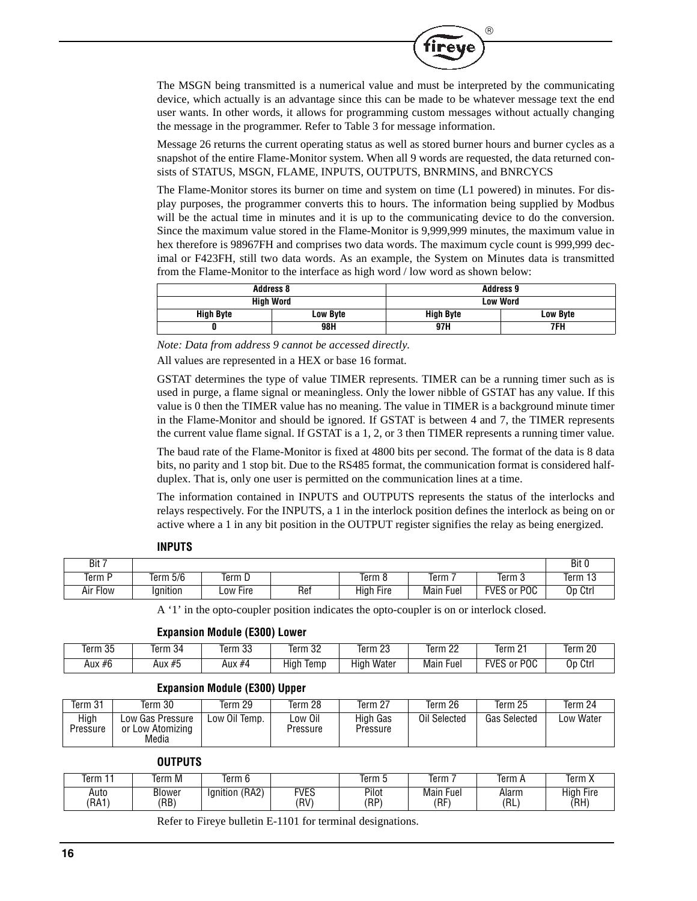The MSGN being transmitted is a numerical value and must be interpreted by the communicating device, which actually is an advantage since this can be made to be whatever message text the end user wants. In other words, it allows for programming custom messages without actually changing the message in the programmer. Refer to Table 3 for message information.

 $^{\circledR}$ 

**Tirey** 

Message 26 returns the current operating status as well as stored burner hours and burner cycles as a snapshot of the entire Flame-Monitor system. When all 9 words are requested, the data returned consists of STATUS, MSGN, FLAME, INPUTS, OUTPUTS, BNRMINS, and BNRCYCS

The Flame-Monitor stores its burner on time and system on time (L1 powered) in minutes. For display purposes, the programmer converts this to hours. The information being supplied by Modbus will be the actual time in minutes and it is up to the communicating device to do the conversion. Since the maximum value stored in the Flame-Monitor is 9,999,999 minutes, the maximum value in hex therefore is 98967FH and comprises two data words. The maximum cycle count is 999,999 decimal or F423FH, still two data words. As an example, the System on Minutes data is transmitted from the Flame-Monitor to the interface as high word / low word as shown below:

|           | <b>Address 8</b> | <b>Address 9</b> |          |  |  |
|-----------|------------------|------------------|----------|--|--|
|           | <b>High Word</b> | <b>Low Word</b>  |          |  |  |
| High Byte | Low Byte         | <b>High Byte</b> | Low Byte |  |  |
|           | 98H              | 97H              | 7FH      |  |  |

*Note: Data from address 9 cannot be accessed directly.*

All values are represented in a HEX or base 16 format.

GSTAT determines the type of value TIMER represents. TIMER can be a running timer such as is used in purge, a flame signal or meaningless. Only the lower nibble of GSTAT has any value. If this value is 0 then the TIMER value has no meaning. The value in TIMER is a background minute timer in the Flame-Monitor and should be ignored. If GSTAT is between 4 and 7, the TIMER represents the current value flame signal. If GSTAT is a 1, 2, or 3 then TIMER represents a running timer value.

The baud rate of the Flame-Monitor is fixed at 4800 bits per second. The format of the data is 8 data bits, no parity and 1 stop bit. Due to the RS485 format, the communication format is considered halfduplex. That is, only one user is permitted on the communication lines at a time.

The information contained in INPUTS and OUTPUTS represents the status of the interlocks and relays respectively. For the INPUTS, a 1 in the interlock position defines the interlock as being on or active where a 1 in any bit position in the OUTPUT register signifies the relay as being energized.

| Bit 7    |          |          |     |                  |                  |                    | Bit 0   |
|----------|----------|----------|-----|------------------|------------------|--------------------|---------|
| Term     | Term 5/6 | Term D   |     | Term 8           | Term             | Term 3             | Term 1ა |
| Air Flow | lgnition | Low Fire | Ref | <b>High Fire</b> | <b>Main Fuel</b> | <b>FVES or POC</b> | Op Ctrl |

#### **INPUTS**

A '1' in the opto-coupler position indicates the opto-coupler is on or interlock closed.

#### **Expansion Module (E300) Lower**

| Term 35 | $\sim$<br>Term 34 | n <sub>n</sub><br>lerm 33 | nn<br>Term<br>-32 | n <sub>n</sub><br>Term 2ప | nn<br>ےTerm 2    | $\sim$<br>Term<br><u>_</u>     | $\overline{20}$<br>Term |
|---------|-------------------|---------------------------|-------------------|---------------------------|------------------|--------------------------------|-------------------------|
| Aux #6  | Aux #5            | Aux #4                    | Hiar<br>lemp      | Water<br>Hiah             | <b>Main Fuel</b> | POC<br><b>FVES</b><br>0r<br>∟ບ | Op Ctrl                 |

## **Expansion Module (E300) Upper**

| Term 31          | Term 30                                       | Term 29       | Term 28             | Term 27              | Term 26      | Term 25      | Term 24   |
|------------------|-----------------------------------------------|---------------|---------------------|----------------------|--------------|--------------|-----------|
| High<br>Pressure | Low Gas Pressure<br>or Low Atomizing<br>Media | Low Oil Temp. | Low Oil<br>Pressure | High Gas<br>Pressure | Oil Selected | Gas Selected | Low Water |

#### **OUTPUTS**

| Term         | <b>rerm</b><br>i M | Term 6            |              | lerm 5        | Term                | Term         | Term X                   |
|--------------|--------------------|-------------------|--------------|---------------|---------------------|--------------|--------------------------|
| Auto<br>(RA1 | Blower<br>(RB)     | (RA2)<br>lanition | FVES<br>(RV) | Pilot<br>(RP) | Fuer<br>Main<br>(RF | Alarm<br>'RL | <b>High Fire</b><br>(RH) |

Refer to Fireye bulletin E-1101 for terminal designations.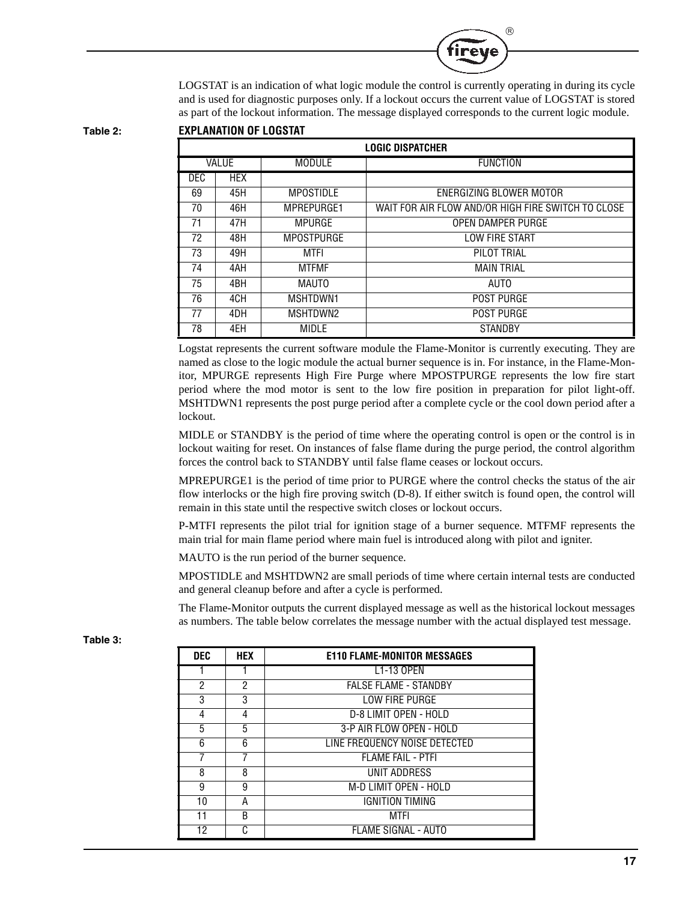

LOGSTAT is an indication of what logic module the control is currently operating in during its cycle and is used for diagnostic purposes only. If a lockout occurs the current value of LOGSTAT is stored as part of the lockout information. The message displayed corresponds to the current logic module.

**Table 2: EXPLANATION OF LOGSTAT**

| <b>LOGIC DISPATCHER</b> |                   |                                   |                                                    |  |  |  |  |
|-------------------------|-------------------|-----------------------------------|----------------------------------------------------|--|--|--|--|
| <b>VALUE</b>            |                   | <b>MODULE</b>                     | <b>FUNCTION</b>                                    |  |  |  |  |
| <b>DEC</b>              | <b>HEX</b>        |                                   |                                                    |  |  |  |  |
| 69                      | 45H               | <b>MPOSTIDLE</b>                  | ENERGIZING BLOWER MOTOR                            |  |  |  |  |
| 70                      | 46H<br>MPREPURGE1 |                                   | WAIT FOR AIR FLOW AND/OR HIGH FIRE SWITCH TO CLOSE |  |  |  |  |
| 71                      | 47H               | MPURGE                            | OPEN DAMPER PURGE                                  |  |  |  |  |
| 72                      | 48H               | <b>MPOSTPURGE</b>                 | <b>LOW FIRE START</b>                              |  |  |  |  |
| 73                      | 49H               | MTFI                              | PILOT TRIAL                                        |  |  |  |  |
| 74                      | 4AH               | <b>MAIN TRIAL</b><br><b>MTFMF</b> |                                                    |  |  |  |  |
| 75                      | 4BH               | MAUTO                             | AUTO                                               |  |  |  |  |
| 76                      | 4CH               | MSHTDWN1                          | <b>POST PURGE</b>                                  |  |  |  |  |
| 77                      | 4DH               | MSHTDWN2                          | <b>POST PURGE</b>                                  |  |  |  |  |
| 78<br>4EH<br>MIDLE      |                   |                                   | <b>STANDBY</b>                                     |  |  |  |  |

Logstat represents the current software module the Flame-Monitor is currently executing. They are named as close to the logic module the actual burner sequence is in. For instance, in the Flame-Monitor, MPURGE represents High Fire Purge where MPOSTPURGE represents the low fire start period where the mod motor is sent to the low fire position in preparation for pilot light-off. MSHTDWN1 represents the post purge period after a complete cycle or the cool down period after a lockout.

MIDLE or STANDBY is the period of time where the operating control is open or the control is in lockout waiting for reset. On instances of false flame during the purge period, the control algorithm forces the control back to STANDBY until false flame ceases or lockout occurs.

MPREPURGE1 is the period of time prior to PURGE where the control checks the status of the air flow interlocks or the high fire proving switch (D-8). If either switch is found open, the control will remain in this state until the respective switch closes or lockout occurs.

P-MTFI represents the pilot trial for ignition stage of a burner sequence. MTFMF represents the main trial for main flame period where main fuel is introduced along with pilot and igniter.

MAUTO is the run period of the burner sequence.

MPOSTIDLE and MSHTDWN2 are small periods of time where certain internal tests are conducted and general cleanup before and after a cycle is performed.

The Flame-Monitor outputs the current displayed message as well as the historical lockout messages as numbers. The table below correlates the message number with the actual displayed test message.

| <b>DEC</b>     | <b>HEX</b> | <b>E110 FLAME-MONITOR MESSAGES</b> |  |  |  |
|----------------|------------|------------------------------------|--|--|--|
|                |            | L1-13 OPEN                         |  |  |  |
| $\overline{2}$ | 2          | <b>FALSE FLAME - STANDBY</b>       |  |  |  |
| 3              | 3          | LOW FIRE PURGE                     |  |  |  |
| 4              | 4          | D-8 LIMIT OPEN - HOLD              |  |  |  |
| 5              | 5          | 3-P AIR FLOW OPEN - HOLD           |  |  |  |
| 6              | 6          | LINE FREQUENCY NOISE DETECTED      |  |  |  |
|                | 7          | <b>FLAME FAIL - PTFI</b>           |  |  |  |
| 8              | 8          | UNIT ADDRESS                       |  |  |  |
| 9              | 9          | M-D LIMIT OPEN - HOLD              |  |  |  |
| 10             | А          | <b>IGNITION TIMING</b>             |  |  |  |
| 11             | B          | MTFI                               |  |  |  |
| 12             | C          | FLAME SIGNAL - AUTO                |  |  |  |

**Table 3:**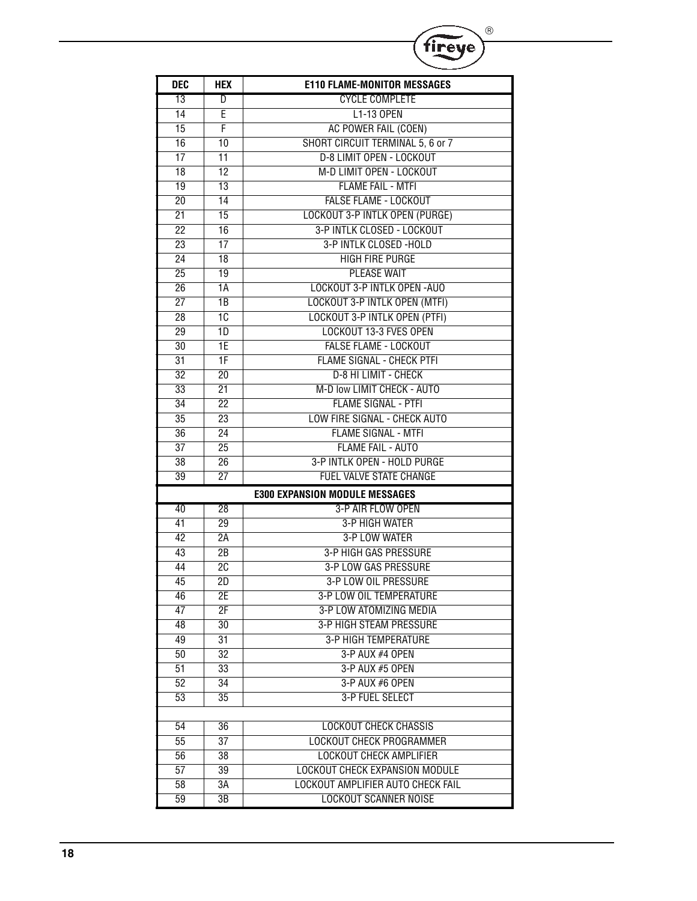|                 |                                                 | ®                                     |
|-----------------|-------------------------------------------------|---------------------------------------|
|                 |                                                 | fi <u>r</u> eye                       |
| <b>DEC</b>      | <b>HEX</b>                                      | <b>E110 FLAME-MONITOR MESSAGES</b>    |
| 13              | D                                               | <b>CYCLE COMPLETE</b>                 |
| $\overline{14}$ | E                                               | L1-13 OPEN                            |
| 15              | F                                               | AC POWER FAIL (COEN)                  |
| 16              | 10                                              | SHORT CIRCUIT TERMINAL 5, 6 or 7      |
| 17              | 11                                              | <b>D-8 LIMIT OPEN - LOCKOUT</b>       |
| 18              | 12                                              | M-D LIMIT OPEN - LOCKOUT              |
| 19              | $\overline{13}$                                 | <b>FLAME FAIL - MTFI</b>              |
| $\overline{20}$ | 14                                              | <b>FALSE FLAME - LOCKOUT</b>          |
| $\overline{21}$ | $\overline{15}$                                 | <b>LOCKOUT 3-P INTLK OPEN (PURGE)</b> |
| $\overline{22}$ | 16                                              | 3-P INTLK CLOSED - LOCKOUT            |
| 23              | 17                                              | 3-P INTLK CLOSED -HOLD                |
| $\overline{24}$ | $\overline{18}$                                 | <b>HIGH FIRE PURGE</b>                |
| $\overline{25}$ | 19                                              | <b>PLEASE WAIT</b>                    |
| $\overline{26}$ | 1A                                              | <b>LOCKOUT 3-P INTLK OPEN-AUO</b>     |
| $\overline{27}$ | $\overline{1B}$                                 | LOCKOUT 3-P INTLK OPEN (MTFI)         |
| $\overline{28}$ | 10                                              | LOCKOUT 3-P INTLK OPEN (PTFI)         |
| 29              | 1D                                              | <b>LOCKOUT 13-3 FVES OPEN</b>         |
| 30              | 1E                                              | <b>FALSE FLAME - LOCKOUT</b>          |
| $\overline{31}$ | 1F                                              | <b>FLAME SIGNAL - CHECK PTFI</b>      |
| $\overline{32}$ | $\overline{20}$                                 | <b>D-8 HI LIMIT - CHECK</b>           |
| 33              | 21                                              | M-D low LIMIT CHECK - AUTO            |
| 34              | 22                                              | <b>FLAME SIGNAL - PTFI</b>            |
| 35              | LOW FIRE SIGNAL - CHECK AUTO<br>$\overline{23}$ |                                       |
| $\overline{36}$ | 24                                              | <b>FLAME SIGNAL - MTFI</b>            |
| $\overline{37}$ | 25                                              | <b>FLAME FAIL - AUTO</b>              |
| 38              | 26                                              | 3-P INTLK OPEN - HOLD PURGE           |
| 39              | 27                                              | <b>FUEL VALVE STATE CHANGE</b>        |
|                 |                                                 | <b>E300 EXPANSION MODULE MESSAGES</b> |
| 40              | 28                                              | 3-P AIR FLOW OPEN                     |
| 41              | 29                                              | <b>3-P HIGH WATER</b>                 |
| 42              | 2Α                                              | 3-P LOW WATER                         |
| 43              | 2В                                              | <b>3-P HIGH GAS PRESSURE</b>          |
| 44              | $\overline{2C}$                                 | 3-P LOW GAS PRESSURE                  |
| 45              | 2D                                              | 3-P LOW OIL PRESSURE                  |
| 46              | 2Е                                              | 3-P LOW OIL TEMPERATURE               |
| 47              | 2F                                              | 3-P LOW ATOMIZING MEDIA               |
| 48              | 30                                              | <b>3-P HIGH STEAM PRESSURE</b>        |
| 49              | 31                                              | <b>3-P HIGH TEMPERATURE</b>           |
| 50              | $\overline{32}$                                 | 3-P AUX #4 OPEN                       |
| $\overline{51}$ | 33                                              | 3-P AUX #5 OPEN                       |
| 52              | 34                                              | 3-P AUX #6 OPEN                       |
| 53              | 35                                              | 3-P FUEL SELECT                       |
|                 |                                                 |                                       |
| 54              | 36                                              | LOCKOUT CHECK CHASSIS                 |
| 55              | 37                                              | <b>LOCKOUT CHECK PROGRAMMER</b>       |
| 56              | 38                                              | <b>LOCKOUT CHECK AMPLIFIER</b>        |
| 57              | 39                                              | LOCKOUT CHECK EXPANSION MODULE        |
| $\overline{58}$ | $\overline{3A}$                                 | LOCKOUT AMPLIFIER AUTO CHECK FAIL     |
| 59              | ЗB                                              | <b>LOCKOUT SCANNER NOISE</b>          |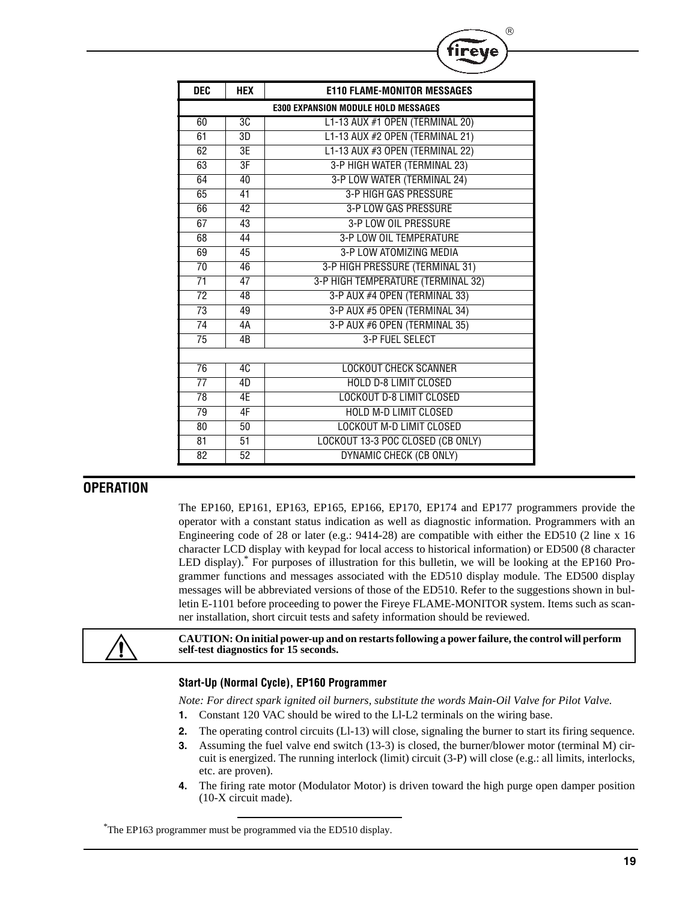| <b>DEC</b>                                 | <b>HEX</b>      | <b>E110 FLAME-MONITOR MESSAGES</b> |  |  |
|--------------------------------------------|-----------------|------------------------------------|--|--|
| <b>E300 EXPANSION MODULE HOLD MESSAGES</b> |                 |                                    |  |  |
| 60                                         | 3C              | L1-13 AUX #1 OPEN (TERMINAL 20)    |  |  |
| 61                                         | 3D              | L1-13 AUX #2 OPEN (TERMINAL 21)    |  |  |
| 62                                         | 3E              | L1-13 AUX #3 OPEN (TERMINAL 22)    |  |  |
| 63                                         | 3F              | 3-P HIGH WATER (TERMINAL 23)       |  |  |
| 64                                         | 40              | 3-P LOW WATER (TERMINAL 24)        |  |  |
| 65                                         | $\overline{41}$ | <b>3-P HIGH GAS PRESSURE</b>       |  |  |
| 66                                         | $\overline{42}$ | <b>3-P LOW GAS PRESSURE</b>        |  |  |
| 67                                         | $\overline{43}$ | 3-P LOW OIL PRESSURE               |  |  |
| 68                                         | 44              | 3-P LOW OIL TEMPERATURE            |  |  |
| 69                                         | 45              | 3-P LOW ATOMIZING MEDIA            |  |  |
| $\overline{70}$                            | 46              | 3-P HIGH PRESSURE (TERMINAL 31)    |  |  |
| 71                                         | 47              | 3-P HIGH TEMPERATURE (TERMINAL 32) |  |  |
| 72                                         | 48              | 3-P AUX #4 OPEN (TERMINAL 33)      |  |  |
| 73                                         | 49              | 3-P AUX #5 OPEN (TERMINAL 34)      |  |  |
| 74                                         | 4А              | 3-P AUX #6 OPEN (TERMINAL 35)      |  |  |
| $\overline{75}$                            | 4B              | 3-P FUEL SELECT                    |  |  |
|                                            |                 |                                    |  |  |
| $\overline{76}$                            | 4C              | <b>LOCKOUT CHECK SCANNER</b>       |  |  |
| $\overline{77}$                            | 4D              | <b>HOLD D-8 LIMIT CLOSED</b>       |  |  |
| $\overline{78}$                            | 4E              | <b>LOCKOUT D-8 LIMIT CLOSED</b>    |  |  |
| 79                                         | 4F              | <b>HOLD M-D LIMIT CLOSED</b>       |  |  |
| 80                                         | 50              | <b>LOCKOUT M-D LIMIT CLOSED</b>    |  |  |
| 81                                         | $\overline{51}$ | LOCKOUT 13-3 POC CLOSED (CB ONLY)  |  |  |
| 82                                         | 52              | DYNAMIC CHECK (CB ONLY)            |  |  |

 $^{\circledR}$ 

## **OPERATION**

The EP160, EP161, EP163, EP165, EP166, EP170, EP174 and EP177 programmers provide the operator with a constant status indication as well as diagnostic information. Programmers with an Engineering code of 28 or later (e.g.: 9414-28) are compatible with either the ED510 (2 line x 16 character LCD display with keypad for local access to historical information) or ED500 (8 character LED display).\* For purposes of illustration for this bulletin, we will be looking at the EP160 Programmer functions and messages associated with the ED510 display module. The ED500 display messages will be abbreviated versions of those of the ED510. Refer to the suggestions shown in bulletin E-1101 before proceeding to power the Fireye FLAME-MONITOR system. Items such as scanner installation, short circuit tests and safety information should be reviewed.



**CAUTION: On initial power-up and on restarts following a power failure, the control will perform self-test diagnostics for 15 seconds.**

#### **Start-Up (Normal Cycle), EP160 Programmer**

*Note: For direct spark ignited oil burners, substitute the words Main-Oil Valve for Pilot Valve.*

- **1.** Constant 120 VAC should be wired to the Ll-L2 terminals on the wiring base.
- **2.** The operating control circuits (Ll-13) will close, signaling the burner to start its firing sequence.
- **3.** Assuming the fuel valve end switch (13-3) is closed, the burner/blower motor (terminal M) circuit is energized. The running interlock (limit) circuit (3-P) will close (e.g.: all limits, interlocks, etc. are proven).
- **4.** The firing rate motor (Modulator Motor) is driven toward the high purge open damper position (10-X circuit made).

\* The EP163 programmer must be programmed via the ED510 display.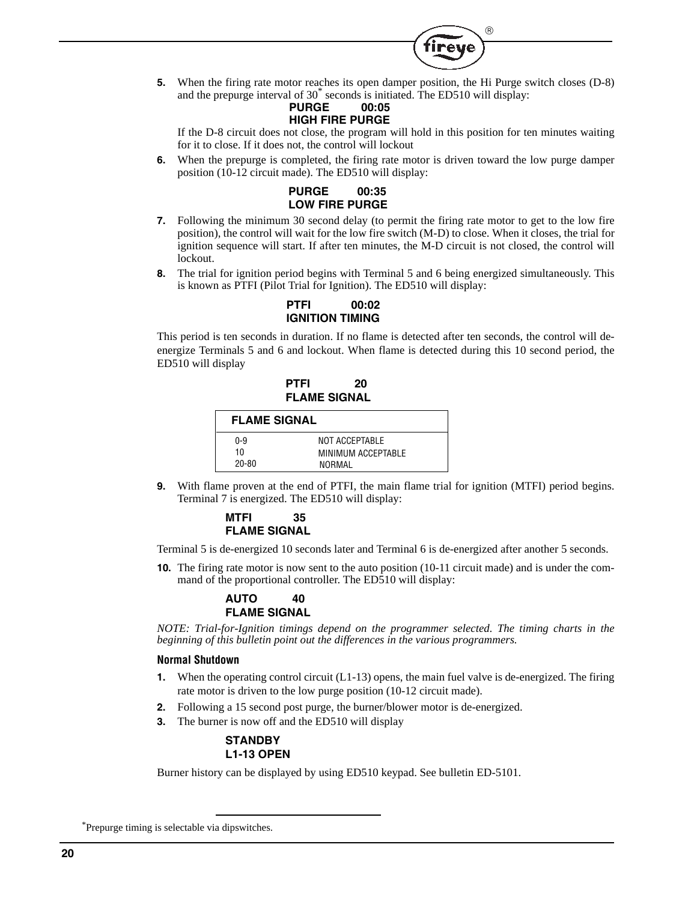

**5.** When the firing rate motor reaches its open damper position, the Hi Purge switch closes (D-8) and the prepurge interval of 30\* seconds is initiated. The ED510 will display:

#### **PURGE 00:05 HIGH FIRE PURGE**

If the D-8 circuit does not close, the program will hold in this position for ten minutes waiting for it to close. If it does not, the control will lockout

**6.** When the prepurge is completed, the firing rate motor is driven toward the low purge damper position (10-12 circuit made). The ED510 will display:



- **7.** Following the minimum 30 second delay (to permit the firing rate motor to get to the low fire position), the control will wait for the low fire switch (M-D) to close. When it closes, the trial for ignition sequence will start. If after ten minutes, the M-D circuit is not closed, the control will lockout.
- **8.** The trial for ignition period begins with Terminal 5 and 6 being energized simultaneously. This is known as PTFI (Pilot Trial for Ignition). The ED510 will display:

**PTFI 00:02 IGNITION TIMING**

This period is ten seconds in duration. If no flame is detected after ten seconds, the control will deenergize Terminals 5 and 6 and lockout. When flame is detected during this 10 second period, the ED510 will display

## **PTFI 20 FLAME SIGNAL**

| <b>FLAME SIGNAL</b> |                                                |  |  |  |
|---------------------|------------------------------------------------|--|--|--|
| 0-9<br>10<br>20-80  | NOT ACCEPTABLE<br>MINIMUM ACCEPTABLE<br>NORMAL |  |  |  |

**9.** With flame proven at the end of PTFI, the main flame trial for ignition (MTFI) period begins. Terminal 7 is energized. The ED510 will display:

#### **MTFI 35 FLAME SIGNAL**

Terminal 5 is de-energized 10 seconds later and Terminal 6 is de-energized after another 5 seconds.

**10.** The firing rate motor is now sent to the auto position (10-11 circuit made) and is under the command of the proportional controller. The ED510 will display:

## **AUTO 40 FLAME SIGNAL**

*NOTE: Trial-for-Ignition timings depend on the programmer selected. The timing charts in the beginning of this bulletin point out the differences in the various programmers.*

#### **Normal Shutdown**

- **1.** When the operating control circuit (L1-13) opens, the main fuel valve is de-energized. The firing rate motor is driven to the low purge position (10-12 circuit made).
- **2.** Following a 15 second post purge, the burner/blower motor is de-energized.
- **3.** The burner is now off and the ED510 will display

#### **STANDBY L1-13 OPEN**

Burner history can be displayed by using ED510 keypad. See bulletin ED-5101.

\*Prepurge timing is selectable via dipswitches.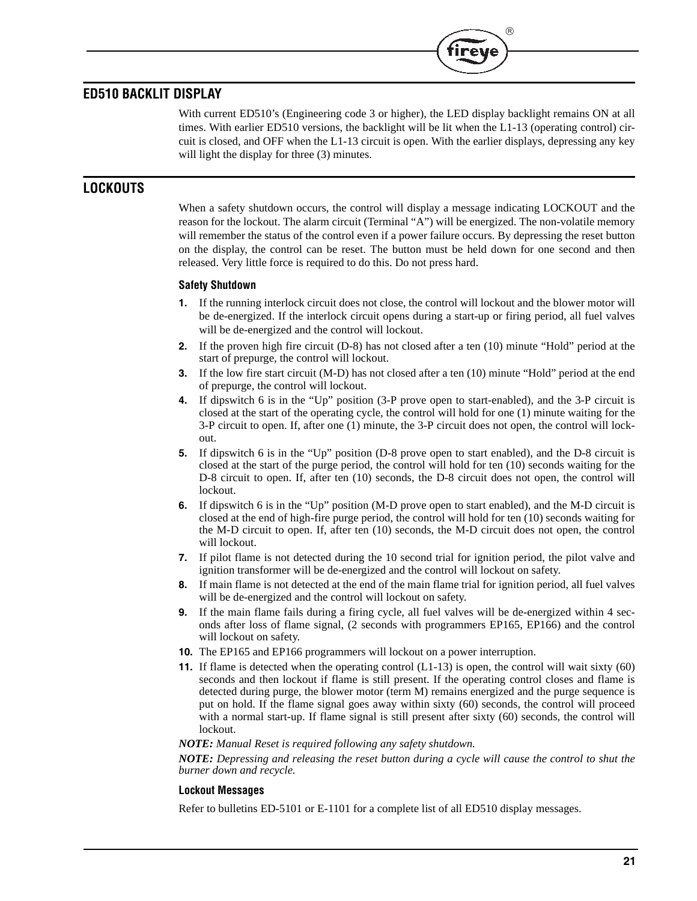# **ED510 BACKLIT DISPLAY**

With current ED510's (Engineering code 3 or higher), the LED display backlight remains ON at all times. With earlier ED510 versions, the backlight will be lit when the L1-13 (operating control) circuit is closed, and OFF when the L1-13 circuit is open. With the earlier displays, depressing any key will light the display for three  $(3)$  minutes.

 $^{\circledR}$ 

irev

# **LOCKOUTS**

When a safety shutdown occurs, the control will display a message indicating LOCKOUT and the reason for the lockout. The alarm circuit (Terminal "A") will be energized. The non-volatile memory will remember the status of the control even if a power failure occurs. By depressing the reset button on the display, the control can be reset. The button must be held down for one second and then released. Very little force is required to do this. Do not press hard.

#### **Safety Shutdown**

- **1.** If the running interlock circuit does not close, the control will lockout and the blower motor will be de-energized. If the interlock circuit opens during a start-up or firing period, all fuel valves will be de-energized and the control will lockout.
- **2.** If the proven high fire circuit (D-8) has not closed after a ten (10) minute "Hold" period at the start of prepurge, the control will lockout.
- **3.** If the low fire start circuit (M-D) has not closed after a ten (10) minute "Hold" period at the end of prepurge, the control will lockout.
- **4.** If dipswitch 6 is in the "Up" position (3-P prove open to start-enabled), and the 3-P circuit is closed at the start of the operating cycle, the control will hold for one (1) minute waiting for the 3-P circuit to open. If, after one (1) minute, the 3-P circuit does not open, the control will lockout.
- **5.** If dipswitch 6 is in the "Up" position (D-8 prove open to start enabled), and the D-8 circuit is closed at the start of the purge period, the control will hold for ten (10) seconds waiting for the D-8 circuit to open. If, after ten (10) seconds, the D-8 circuit does not open, the control will lockout.
- **6.** If dipswitch 6 is in the "Up" position (M-D prove open to start enabled), and the M-D circuit is closed at the end of high-fire purge period, the control will hold for ten (10) seconds waiting for the M-D circuit to open. If, after ten (10) seconds, the M-D circuit does not open, the control will lockout.
- **7.** If pilot flame is not detected during the 10 second trial for ignition period, the pilot valve and ignition transformer will be de-energized and the control will lockout on safety.
- **8.** If main flame is not detected at the end of the main flame trial for ignition period, all fuel valves will be de-energized and the control will lockout on safety.
- **9.** If the main flame fails during a firing cycle, all fuel valves will be de-energized within 4 seconds after loss of flame signal, (2 seconds with programmers EP165, EP166) and the control will lockout on safety.
- **10.** The EP165 and EP166 programmers will lockout on a power interruption.
- **11.** If flame is detected when the operating control  $(L1-13)$  is open, the control will wait sixty (60) seconds and then lockout if flame is still present. If the operating control closes and flame is detected during purge, the blower motor (term M) remains energized and the purge sequence is put on hold. If the flame signal goes away within sixty (60) seconds, the control will proceed with a normal start-up. If flame signal is still present after sixty (60) seconds, the control will lockout.

#### *NOTE: Manual Reset is required following any safety shutdown.*

*NOTE: Depressing and releasing the reset button during a cycle will cause the control to shut the burner down and recycle.*

#### **Lockout Messages**

Refer to bulletins ED-5101 or E-1101 for a complete list of all ED510 display messages.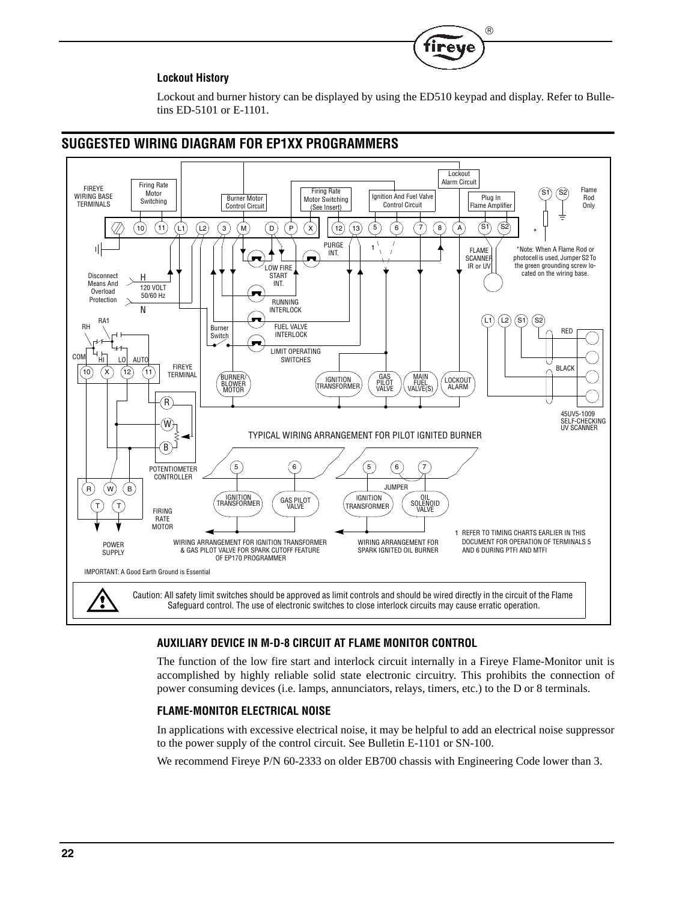## **Lockout History**

Lockout and burner history can be displayed by using the ED510 keypad and display. Refer to Bulletins ED-5101 or E-1101.

(R)



# **SUGGESTED WIRING DIAGRAM FOR EP1XX PROGRAMMERS**

#### **AUXILIARY DEVICE IN M-D-8 CIRCUIT AT FLAME MONITOR CONTROL**

The function of the low fire start and interlock circuit internally in a Fireye Flame-Monitor unit is accomplished by highly reliable solid state electronic circuitry. This prohibits the connection of power consuming devices (i.e. lamps, annunciators, relays, timers, etc.) to the D or 8 terminals.

## **FLAME-MONITOR ELECTRICAL NOISE**

In applications with excessive electrical noise, it may be helpful to add an electrical noise suppressor to the power supply of the control circuit. See Bulletin E-1101 or SN-100.

We recommend Fireye P/N 60-2333 on older EB700 chassis with Engineering Code lower than 3.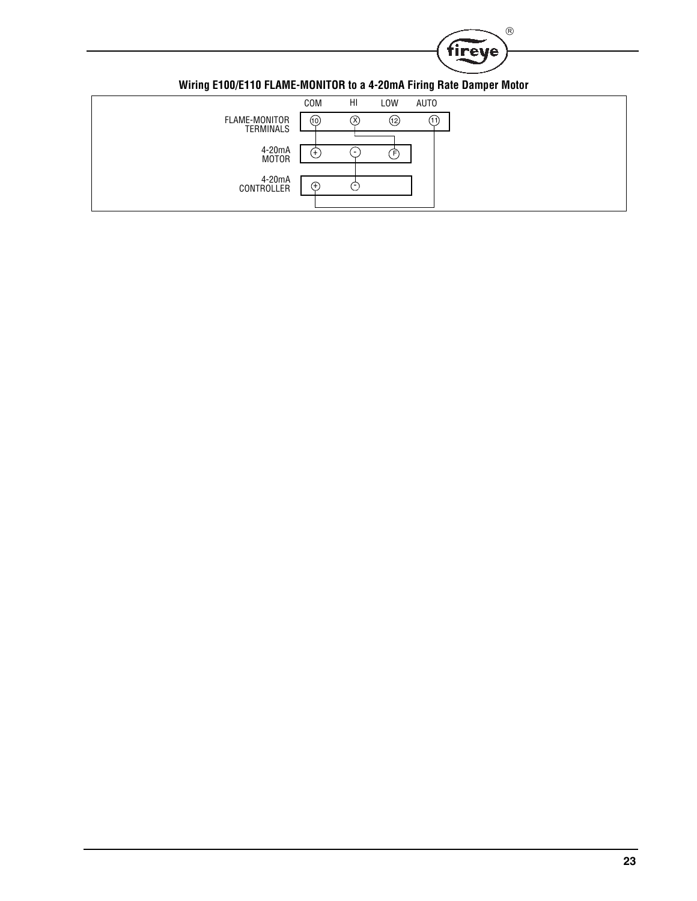

| HI<br>COM<br>LOW<br><b>AUTO</b><br>FLAME-MONITOR<br>(12)<br>(10)<br>(11)<br>ΟX,<br>TERMINALS<br>4-20mA<br>$(+)$<br>Έ<br>$\overline{\phantom{a}}$<br><b>MOTOR</b><br>4-20mA<br>(+`<br>CONTROLLER<br>. | $\cdot$ | $  \bullet$<br>_____ |  | $\cdot$ | ____ |
|------------------------------------------------------------------------------------------------------------------------------------------------------------------------------------------------------|---------|----------------------|--|---------|------|
|                                                                                                                                                                                                      |         |                      |  |         |      |
|                                                                                                                                                                                                      |         |                      |  |         |      |
|                                                                                                                                                                                                      |         |                      |  |         |      |
|                                                                                                                                                                                                      |         |                      |  |         |      |
|                                                                                                                                                                                                      |         |                      |  |         |      |
|                                                                                                                                                                                                      |         |                      |  |         |      |
|                                                                                                                                                                                                      |         |                      |  |         |      |

**Wiring E100/E110 FLAME-MONITOR to a 4-20mA Firing Rate Damper Motor**